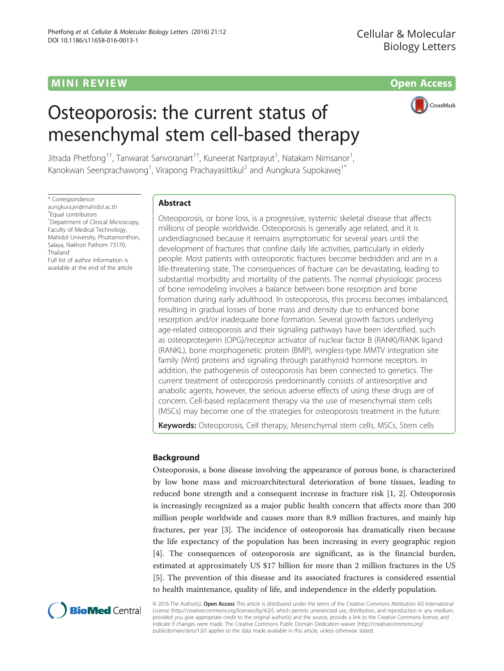## **MINI REVIEW CONTROL** CONTROL CONTROL CONTROL CONTROL CONTROL CONTROL CONTROL CONTROL CONTROL CONTROL CONTROL CONTROL CONTROL CONTROL CONTROL CONTROL CONTROL CONTROL CONTROL CONTROL CONTROL CONTROL CONTROL CONTROL CONTROL

CrossMark

# Osteoporosis: the current status of mesenchymal stem cell-based therapy

Jitrada Phetfong<sup>1†</sup>, Tanwarat Sanvoranart<sup>1†</sup>, Kuneerat Nartprayut<sup>1</sup>, Natakarn Nimsanor<sup>1</sup> , Kanokwan Seenprachawong<sup>1</sup>, Virapong Prachayasittikul<sup>2</sup> and Aungkura Supokawej<sup>1\*</sup>

\* Correspondence: [aungkura.jer@mahidol.ac.th](mailto:aungkura.jer@mahidol.ac.th) † Equal contributors <sup>1</sup> Department of Clinical Microscopy, Faculty of Medical Technology, Mahidol University, Phuttamonthon, Salaya, Nakhon Pathom 73170, Thailand Full list of author information is available at the end of the article

## Abstract

Osteoporosis, or bone loss, is a progressive, systemic skeletal disease that affects millions of people worldwide. Osteoporosis is generally age related, and it is underdiagnosed because it remains asymptomatic for several years until the development of fractures that confine daily life activities, particularly in elderly people. Most patients with osteoporotic fractures become bedridden and are in a life-threatening state. The consequences of fracture can be devastating, leading to substantial morbidity and mortality of the patients. The normal physiologic process of bone remodeling involves a balance between bone resorption and bone formation during early adulthood. In osteoporosis, this process becomes imbalanced, resulting in gradual losses of bone mass and density due to enhanced bone resorption and/or inadequate bone formation. Several growth factors underlying age-related osteoporosis and their signaling pathways have been identified, such as osteoprotegerin (OPG)/receptor activator of nuclear factor B (RANK)/RANK ligand (RANKL), bone morphogenetic protein (BMP), wingless-type MMTV integration site family (Wnt) proteins and signaling through parathyroid hormone receptors. In addition, the pathogenesis of osteoporosis has been connected to genetics. The current treatment of osteoporosis predominantly consists of antiresorptive and anabolic agents; however, the serious adverse effects of using these drugs are of concern. Cell-based replacement therapy via the use of mesenchymal stem cells (MSCs) may become one of the strategies for osteoporosis treatment in the future.

Keywords: Osteoporosis, Cell therapy, Mesenchymal stem cells, MSCs, Stem cells

## Background

Osteoporosis, a bone disease involving the appearance of porous bone, is characterized by low bone mass and microarchitectural deterioration of bone tissues, leading to reduced bone strength and a consequent increase in fracture risk [[1, 2](#page-13-0)]. Osteoporosis is increasingly recognized as a major public health concern that affects more than 200 million people worldwide and causes more than 8.9 million fractures, and mainly hip fractures, per year [[3\]](#page-13-0). The incidence of osteoporosis has dramatically risen because the life expectancy of the population has been increasing in every geographic region [[4\]](#page-13-0). The consequences of osteoporosis are significant, as is the financial burden, estimated at approximately US \$17 billion for more than 2 million fractures in the US [[5\]](#page-13-0). The prevention of this disease and its associated fractures is considered essential to health maintenance, quality of life, and independence in the elderly population.



© 2016 The Author(s). Open Access This article is distributed under the terms of the Creative Commons Attribution 4.0 International License ([http://creativecommons.org/licenses/by/4.0/\)](http://creativecommons.org/licenses/by/4.0/), which permits unrestricted use, distribution, and reproduction in any medium, provided you give appropriate credit to the original author(s) and the source, provide a link to the Creative Commons license, and indicate if changes were made. The Creative Commons Public Domain Dedication waiver ([http://creativecommons.org/](http://creativecommons.org/publicdomain/zero/1.0/) [publicdomain/zero/1.0/\)](http://creativecommons.org/publicdomain/zero/1.0/) applies to the data made available in this article, unless otherwise stated.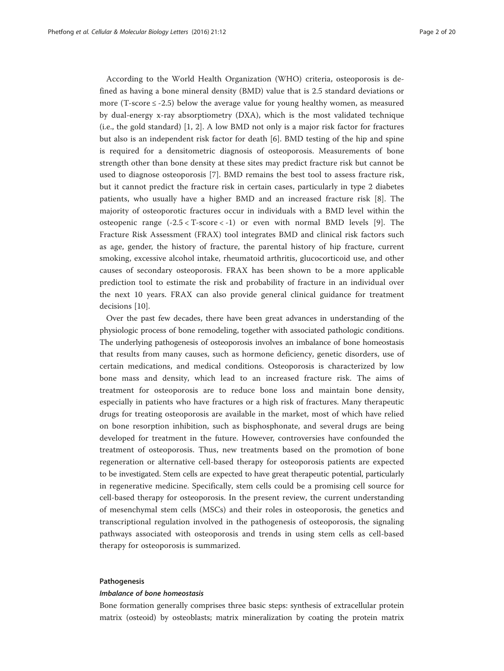According to the World Health Organization (WHO) criteria, osteoporosis is defined as having a bone mineral density (BMD) value that is 2.5 standard deviations or more (T-score  $\leq$  -2.5) below the average value for young healthy women, as measured by dual-energy x-ray absorptiometry (DXA), which is the most validated technique (i.e., the gold standard) [[1, 2\]](#page-13-0). A low BMD not only is a major risk factor for fractures but also is an independent risk factor for death [[6\]](#page-13-0). BMD testing of the hip and spine is required for a densitometric diagnosis of osteoporosis. Measurements of bone strength other than bone density at these sites may predict fracture risk but cannot be used to diagnose osteoporosis [[7\]](#page-14-0). BMD remains the best tool to assess fracture risk, but it cannot predict the fracture risk in certain cases, particularly in type 2 diabetes patients, who usually have a higher BMD and an increased fracture risk [[8\]](#page-14-0). The majority of osteoporotic fractures occur in individuals with a BMD level within the osteopenic range (-2.5 < T-score < -1) or even with normal BMD levels [[9\]](#page-14-0). The Fracture Risk Assessment (FRAX) tool integrates BMD and clinical risk factors such as age, gender, the history of fracture, the parental history of hip fracture, current smoking, excessive alcohol intake, rheumatoid arthritis, glucocorticoid use, and other causes of secondary osteoporosis. FRAX has been shown to be a more applicable prediction tool to estimate the risk and probability of fracture in an individual over the next 10 years. FRAX can also provide general clinical guidance for treatment decisions [[10\]](#page-14-0).

Over the past few decades, there have been great advances in understanding of the physiologic process of bone remodeling, together with associated pathologic conditions. The underlying pathogenesis of osteoporosis involves an imbalance of bone homeostasis that results from many causes, such as hormone deficiency, genetic disorders, use of certain medications, and medical conditions. Osteoporosis is characterized by low bone mass and density, which lead to an increased fracture risk. The aims of treatment for osteoporosis are to reduce bone loss and maintain bone density, especially in patients who have fractures or a high risk of fractures. Many therapeutic drugs for treating osteoporosis are available in the market, most of which have relied on bone resorption inhibition, such as bisphosphonate, and several drugs are being developed for treatment in the future. However, controversies have confounded the treatment of osteoporosis. Thus, new treatments based on the promotion of bone regeneration or alternative cell-based therapy for osteoporosis patients are expected to be investigated. Stem cells are expected to have great therapeutic potential, particularly in regenerative medicine. Specifically, stem cells could be a promising cell source for cell-based therapy for osteoporosis. In the present review, the current understanding of mesenchymal stem cells (MSCs) and their roles in osteoporosis, the genetics and transcriptional regulation involved in the pathogenesis of osteoporosis, the signaling pathways associated with osteoporosis and trends in using stem cells as cell-based therapy for osteoporosis is summarized.

## Pathogenesis

#### Imbalance of bone homeostasis

Bone formation generally comprises three basic steps: synthesis of extracellular protein matrix (osteoid) by osteoblasts; matrix mineralization by coating the protein matrix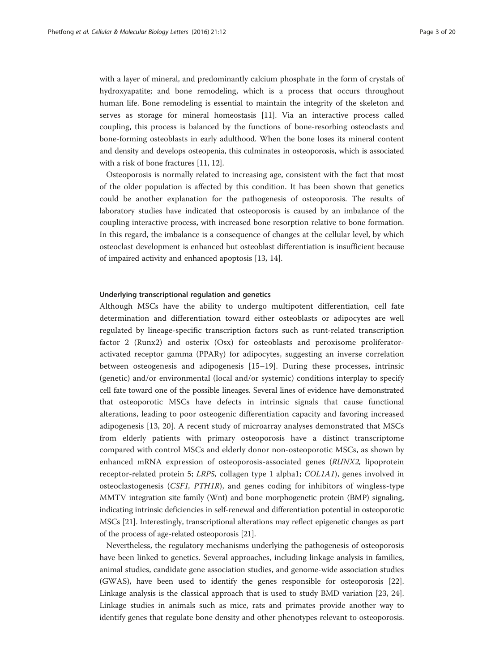with a layer of mineral, and predominantly calcium phosphate in the form of crystals of hydroxyapatite; and bone remodeling, which is a process that occurs throughout human life. Bone remodeling is essential to maintain the integrity of the skeleton and serves as storage for mineral homeostasis [\[11\]](#page-14-0). Via an interactive process called coupling, this process is balanced by the functions of bone-resorbing osteoclasts and bone-forming osteoblasts in early adulthood. When the bone loses its mineral content and density and develops osteopenia, this culminates in osteoporosis, which is associated with a risk of bone fractures [[11](#page-14-0), [12\]](#page-14-0).

Osteoporosis is normally related to increasing age, consistent with the fact that most of the older population is affected by this condition. It has been shown that genetics could be another explanation for the pathogenesis of osteoporosis. The results of laboratory studies have indicated that osteoporosis is caused by an imbalance of the coupling interactive process, with increased bone resorption relative to bone formation. In this regard, the imbalance is a consequence of changes at the cellular level, by which osteoclast development is enhanced but osteoblast differentiation is insufficient because of impaired activity and enhanced apoptosis [\[13, 14\]](#page-14-0).

#### Underlying transcriptional regulation and genetics

Although MSCs have the ability to undergo multipotent differentiation, cell fate determination and differentiation toward either osteoblasts or adipocytes are well regulated by lineage-specific transcription factors such as runt-related transcription factor 2 (Runx2) and osterix (Osx) for osteoblasts and peroxisome proliferatoractivated receptor gamma (PPARγ) for adipocytes, suggesting an inverse correlation between osteogenesis and adipogenesis [[15](#page-14-0)–[19](#page-14-0)]. During these processes, intrinsic (genetic) and/or environmental (local and/or systemic) conditions interplay to specify cell fate toward one of the possible lineages. Several lines of evidence have demonstrated that osteoporotic MSCs have defects in intrinsic signals that cause functional alterations, leading to poor osteogenic differentiation capacity and favoring increased adipogenesis [[13, 20](#page-14-0)]. A recent study of microarray analyses demonstrated that MSCs from elderly patients with primary osteoporosis have a distinct transcriptome compared with control MSCs and elderly donor non-osteoporotic MSCs, as shown by enhanced mRNA expression of osteoporosis-associated genes (RUNX2, lipoprotein receptor-related protein 5; LRP5, collagen type 1 alpha1; COL1A1), genes involved in osteoclastogenesis (CSF1, PTH1R), and genes coding for inhibitors of wingless-type MMTV integration site family (Wnt) and bone morphogenetic protein (BMP) signaling, indicating intrinsic deficiencies in self-renewal and differentiation potential in osteoporotic MSCs [[21](#page-14-0)]. Interestingly, transcriptional alterations may reflect epigenetic changes as part of the process of age-related osteoporosis [[21](#page-14-0)].

Nevertheless, the regulatory mechanisms underlying the pathogenesis of osteoporosis have been linked to genetics. Several approaches, including linkage analysis in families, animal studies, candidate gene association studies, and genome-wide association studies (GWAS), have been used to identify the genes responsible for osteoporosis [[22](#page-14-0)]. Linkage analysis is the classical approach that is used to study BMD variation [\[23, 24](#page-14-0)]. Linkage studies in animals such as mice, rats and primates provide another way to identify genes that regulate bone density and other phenotypes relevant to osteoporosis.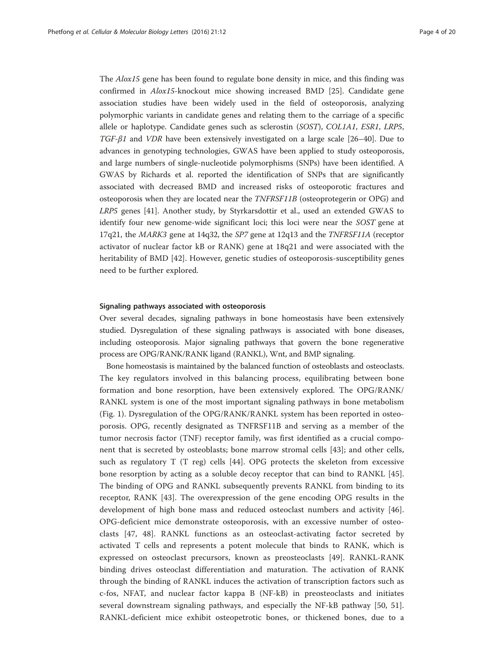The Alox15 gene has been found to regulate bone density in mice, and this finding was confirmed in Alox15-knockout mice showing increased BMD [[25](#page-14-0)]. Candidate gene association studies have been widely used in the field of osteoporosis, analyzing polymorphic variants in candidate genes and relating them to the carriage of a specific allele or haplotype. Candidate genes such as sclerostin (SOST), COL1A1, ESR1, LRP5, TGF-β1 and VDR have been extensively investigated on a large scale [[26](#page-14-0)–[40\]](#page-15-0). Due to advances in genotyping technologies, GWAS have been applied to study osteoporosis, and large numbers of single-nucleotide polymorphisms (SNPs) have been identified. A GWAS by Richards et al. reported the identification of SNPs that are significantly associated with decreased BMD and increased risks of osteoporotic fractures and osteoporosis when they are located near the TNFRSF11B (osteoprotegerin or OPG) and LRP5 genes [\[41\]](#page-15-0). Another study, by Styrkarsdottir et al., used an extended GWAS to identify four new genome-wide significant loci; this loci were near the SOST gene at 17q21, the MARK3 gene at 14q32, the SP7 gene at 12q13 and the TNFRSF11A (receptor activator of nuclear factor kB or RANK) gene at 18q21 and were associated with the heritability of BMD [\[42](#page-15-0)]. However, genetic studies of osteoporosis-susceptibility genes need to be further explored.

#### Signaling pathways associated with osteoporosis

Over several decades, signaling pathways in bone homeostasis have been extensively studied. Dysregulation of these signaling pathways is associated with bone diseases, including osteoporosis. Major signaling pathways that govern the bone regenerative process are OPG/RANK/RANK ligand (RANKL), Wnt, and BMP signaling.

Bone homeostasis is maintained by the balanced function of osteoblasts and osteoclasts. The key regulators involved in this balancing process, equilibrating between bone formation and bone resorption, have been extensively explored. The OPG/RANK/ RANKL system is one of the most important signaling pathways in bone metabolism (Fig. [1\)](#page-4-0). Dysregulation of the OPG/RANK/RANKL system has been reported in osteoporosis. OPG, recently designated as TNFRSF11B and serving as a member of the tumor necrosis factor (TNF) receptor family, was first identified as a crucial component that is secreted by osteoblasts; bone marrow stromal cells [\[43](#page-15-0)]; and other cells, such as regulatory T (T reg) cells [\[44](#page-15-0)]. OPG protects the skeleton from excessive bone resorption by acting as a soluble decoy receptor that can bind to RANKL [\[45](#page-15-0)]. The binding of OPG and RANKL subsequently prevents RANKL from binding to its receptor, RANK [\[43](#page-15-0)]. The overexpression of the gene encoding OPG results in the development of high bone mass and reduced osteoclast numbers and activity [\[46](#page-15-0)]. OPG-deficient mice demonstrate osteoporosis, with an excessive number of osteoclasts [[47](#page-15-0), [48\]](#page-15-0). RANKL functions as an osteoclast-activating factor secreted by activated T cells and represents a potent molecule that binds to RANK, which is expressed on osteoclast precursors, known as preosteoclasts [\[49](#page-15-0)]. RANKL-RANK binding drives osteoclast differentiation and maturation. The activation of RANK through the binding of RANKL induces the activation of transcription factors such as c-fos, NFAT, and nuclear factor kappa B (NF-kB) in preosteoclasts and initiates several downstream signaling pathways, and especially the NF-kB pathway [[50, 51](#page-15-0)]. RANKL-deficient mice exhibit osteopetrotic bones, or thickened bones, due to a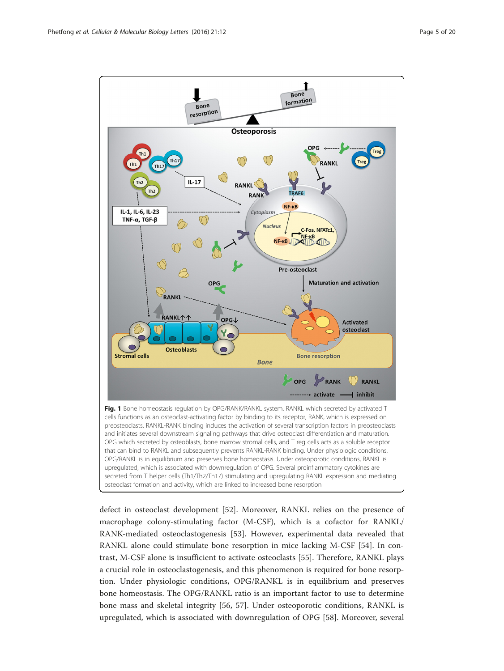<span id="page-4-0"></span>

defect in osteoclast development [[52\]](#page-15-0). Moreover, RANKL relies on the presence of macrophage colony-stimulating factor (M-CSF), which is a cofactor for RANKL/ RANK-mediated osteoclastogenesis [[53\]](#page-15-0). However, experimental data revealed that RANKL alone could stimulate bone resorption in mice lacking M-CSF [[54\]](#page-15-0). In contrast, M-CSF alone is insufficient to activate osteoclasts [[55\]](#page-15-0). Therefore, RANKL plays a crucial role in osteoclastogenesis, and this phenomenon is required for bone resorption. Under physiologic conditions, OPG/RANKL is in equilibrium and preserves bone homeostasis. The OPG/RANKL ratio is an important factor to use to determine bone mass and skeletal integrity [\[56](#page-15-0), [57\]](#page-15-0). Under osteoporotic conditions, RANKL is upregulated, which is associated with downregulation of OPG [[58\]](#page-15-0). Moreover, several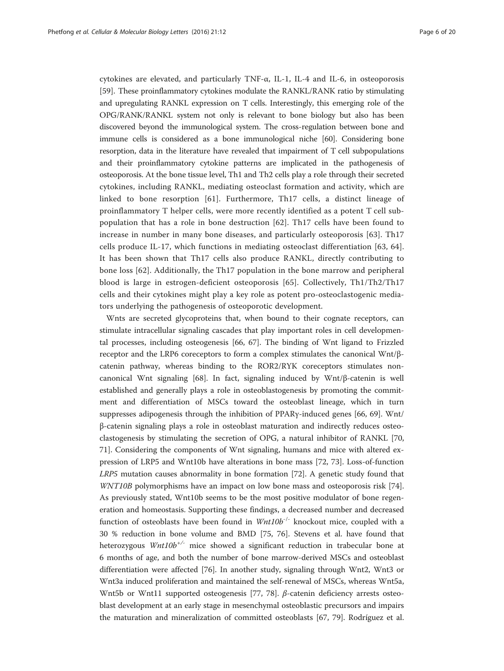cytokines are elevated, and particularly TNF- $\alpha$ , IL-1, IL-4 and IL-6, in osteoporosis [[59\]](#page-15-0). These proinflammatory cytokines modulate the RANKL/RANK ratio by stimulating and upregulating RANKL expression on T cells. Interestingly, this emerging role of the OPG/RANK/RANKL system not only is relevant to bone biology but also has been discovered beyond the immunological system. The cross-regulation between bone and immune cells is considered as a bone immunological niche [[60](#page-15-0)]. Considering bone resorption, data in the literature have revealed that impairment of T cell subpopulations and their proinflammatory cytokine patterns are implicated in the pathogenesis of osteoporosis. At the bone tissue level, Th1 and Th2 cells play a role through their secreted cytokines, including RANKL, mediating osteoclast formation and activity, which are linked to bone resorption [\[61](#page-15-0)]. Furthermore, Th17 cells, a distinct lineage of proinflammatory T helper cells, were more recently identified as a potent T cell subpopulation that has a role in bone destruction [[62](#page-15-0)]. Th17 cells have been found to increase in number in many bone diseases, and particularly osteoporosis [\[63](#page-16-0)]. Th17 cells produce IL-17, which functions in mediating osteoclast differentiation [[63](#page-16-0), [64](#page-16-0)]. It has been shown that Th17 cells also produce RANKL, directly contributing to bone loss [[62\]](#page-15-0). Additionally, the Th17 population in the bone marrow and peripheral blood is large in estrogen-deficient osteoporosis [[65\]](#page-16-0). Collectively, Th1/Th2/Th17 cells and their cytokines might play a key role as potent pro-osteoclastogenic mediators underlying the pathogenesis of osteoporotic development.

Wnts are secreted glycoproteins that, when bound to their cognate receptors, can stimulate intracellular signaling cascades that play important roles in cell developmental processes, including osteogenesis [[66](#page-16-0), [67\]](#page-16-0). The binding of Wnt ligand to Frizzled receptor and the LRP6 coreceptors to form a complex stimulates the canonical Wnt/βcatenin pathway, whereas binding to the ROR2/RYK coreceptors stimulates non-canonical Wnt signaling [[68\]](#page-16-0). In fact, signaling induced by Wnt/ $\beta$ -catenin is well established and generally plays a role in osteoblastogenesis by promoting the commitment and differentiation of MSCs toward the osteoblast lineage, which in turn suppresses adipogenesis through the inhibition of PPARγ-induced genes [[66, 69\]](#page-16-0). Wnt/ β-catenin signaling plays a role in osteoblast maturation and indirectly reduces osteoclastogenesis by stimulating the secretion of OPG, a natural inhibitor of RANKL [[70](#page-16-0), [71](#page-16-0)]. Considering the components of Wnt signaling, humans and mice with altered expression of LRP5 and Wnt10b have alterations in bone mass [\[72, 73](#page-16-0)]. Loss-of-function LRP5 mutation causes abnormality in bone formation [\[72](#page-16-0)]. A genetic study found that WNT10B polymorphisms have an impact on low bone mass and osteoporosis risk [[74](#page-16-0)]. As previously stated, Wnt10b seems to be the most positive modulator of bone regeneration and homeostasis. Supporting these findings, a decreased number and decreased function of osteoblasts have been found in  $Wnt10b^{-1}$  knockout mice, coupled with a 30 % reduction in bone volume and BMD [[75, 76](#page-16-0)]. Stevens et al. have found that heterozygous  $Wnt10b^{+/}$  mice showed a significant reduction in trabecular bone at 6 months of age, and both the number of bone marrow-derived MSCs and osteoblast differentiation were affected [\[76\]](#page-16-0). In another study, signaling through Wnt2, Wnt3 or Wnt3a induced proliferation and maintained the self-renewal of MSCs, whereas Wnt5a, Wnt5b or Wnt11 supported osteogenesis [[77, 78\]](#page-16-0). β-catenin deficiency arrests osteoblast development at an early stage in mesenchymal osteoblastic precursors and impairs the maturation and mineralization of committed osteoblasts [[67, 79\]](#page-16-0). Rodríguez et al.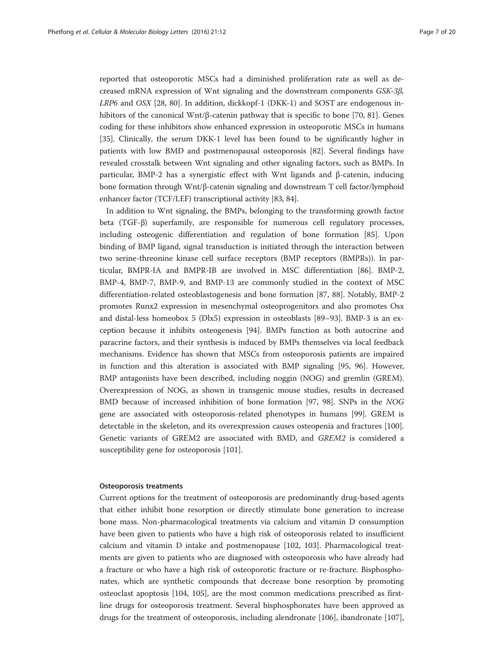reported that osteoporotic MSCs had a diminished proliferation rate as well as decreased mRNA expression of Wnt signaling and the downstream components GSK-3β, LRP6 and OSX [\[28,](#page-14-0) [80](#page-16-0)]. In addition, dickkopf-1 (DKK-1) and SOST are endogenous inhibitors of the canonical Wnt/β-catenin pathway that is specific to bone [\[70](#page-16-0), [81](#page-16-0)]. Genes coding for these inhibitors show enhanced expression in osteoporotic MSCs in humans [[35\]](#page-14-0). Clinically, the serum DKK-1 level has been found to be significantly higher in patients with low BMD and postmenopausal osteoporosis [[82](#page-16-0)]. Several findings have revealed crosstalk between Wnt signaling and other signaling factors, such as BMPs. In particular, BMP-2 has a synergistic effect with Wnt ligands and β-catenin, inducing bone formation through Wnt/β-catenin signaling and downstream T cell factor/lymphoid enhancer factor (TCF/LEF) transcriptional activity [[83, 84\]](#page-16-0).

In addition to Wnt signaling, the BMPs, belonging to the transforming growth factor beta (TGF-β) superfamily, are responsible for numerous cell regulatory processes, including osteogenic differentiation and regulation of bone formation [[85](#page-16-0)]. Upon binding of BMP ligand, signal transduction is initiated through the interaction between two serine-threonine kinase cell surface receptors (BMP receptors (BMPRs)). In particular, BMPR-IA and BMPR-IB are involved in MSC differentiation [[86\]](#page-16-0). BMP-2, BMP-4, BMP-7, BMP-9, and BMP-13 are commonly studied in the context of MSC differentiation-related osteoblastogenesis and bone formation [\[87](#page-16-0), [88](#page-16-0)]. Notably, BMP-2 promotes Runx2 expression in mesenchymal osteoprogenitors and also promotes Osx and distal-less homeobox 5 (Dlx5) expression in osteoblasts [\[89](#page-16-0)–[93\]](#page-17-0). BMP-3 is an exception because it inhibits osteogenesis [\[94](#page-17-0)]. BMPs function as both autocrine and paracrine factors, and their synthesis is induced by BMPs themselves via local feedback mechanisms. Evidence has shown that MSCs from osteoporosis patients are impaired in function and this alteration is associated with BMP signaling [[95](#page-17-0), [96](#page-17-0)]. However, BMP antagonists have been described, including noggin (NOG) and gremlin (GREM). Overexpression of NOG, as shown in transgenic mouse studies, results in decreased BMD because of increased inhibition of bone formation [[97, 98\]](#page-17-0). SNPs in the NOG gene are associated with osteoporosis-related phenotypes in humans [[99](#page-17-0)]. GREM is detectable in the skeleton, and its overexpression causes osteopenia and fractures [[100](#page-17-0)]. Genetic variants of GREM2 are associated with BMD, and GREM2 is considered a susceptibility gene for osteoporosis [[101\]](#page-17-0).

#### Osteoporosis treatments

Current options for the treatment of osteoporosis are predominantly drug-based agents that either inhibit bone resorption or directly stimulate bone generation to increase bone mass. Non-pharmacological treatments via calcium and vitamin D consumption have been given to patients who have a high risk of osteoporosis related to insufficient calcium and vitamin D intake and postmenopause [[102](#page-17-0), [103](#page-17-0)]. Pharmacological treatments are given to patients who are diagnosed with osteoporosis who have already had a fracture or who have a high risk of osteoporotic fracture or re-fracture. Bisphosphonates, which are synthetic compounds that decrease bone resorption by promoting osteoclast apoptosis [\[104](#page-17-0), [105\]](#page-17-0), are the most common medications prescribed as firstline drugs for osteoporosis treatment. Several bisphosphonates have been approved as drugs for the treatment of osteoporosis, including alendronate [[106](#page-17-0)], ibandronate [[107](#page-17-0)],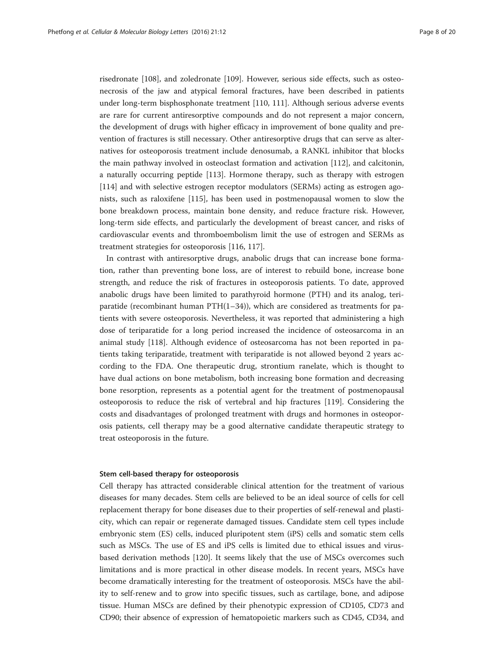risedronate [\[108](#page-17-0)], and zoledronate [[109\]](#page-17-0). However, serious side effects, such as osteonecrosis of the jaw and atypical femoral fractures, have been described in patients under long-term bisphosphonate treatment [[110, 111\]](#page-17-0). Although serious adverse events are rare for current antiresorptive compounds and do not represent a major concern, the development of drugs with higher efficacy in improvement of bone quality and prevention of fractures is still necessary. Other antiresorptive drugs that can serve as alternatives for osteoporosis treatment include denosumab, a RANKL inhibitor that blocks the main pathway involved in osteoclast formation and activation [\[112\]](#page-17-0), and calcitonin, a naturally occurring peptide [[113](#page-17-0)]. Hormone therapy, such as therapy with estrogen [[114\]](#page-17-0) and with selective estrogen receptor modulators (SERMs) acting as estrogen agonists, such as raloxifene [[115](#page-17-0)], has been used in postmenopausal women to slow the bone breakdown process, maintain bone density, and reduce fracture risk. However, long-term side effects, and particularly the development of breast cancer, and risks of cardiovascular events and thromboembolism limit the use of estrogen and SERMs as treatment strategies for osteoporosis [\[116, 117\]](#page-17-0).

In contrast with antiresorptive drugs, anabolic drugs that can increase bone formation, rather than preventing bone loss, are of interest to rebuild bone, increase bone strength, and reduce the risk of fractures in osteoporosis patients. To date, approved anabolic drugs have been limited to parathyroid hormone (PTH) and its analog, teriparatide (recombinant human  $\text{PTH}(1-34)$ ), which are considered as treatments for patients with severe osteoporosis. Nevertheless, it was reported that administering a high dose of teriparatide for a long period increased the incidence of osteosarcoma in an animal study [\[118\]](#page-17-0). Although evidence of osteosarcoma has not been reported in patients taking teriparatide, treatment with teriparatide is not allowed beyond 2 years according to the FDA. One therapeutic drug, strontium ranelate, which is thought to have dual actions on bone metabolism, both increasing bone formation and decreasing bone resorption, represents as a potential agent for the treatment of postmenopausal osteoporosis to reduce the risk of vertebral and hip fractures [[119](#page-18-0)]. Considering the costs and disadvantages of prolonged treatment with drugs and hormones in osteoporosis patients, cell therapy may be a good alternative candidate therapeutic strategy to treat osteoporosis in the future.

#### Stem cell-based therapy for osteoporosis

Cell therapy has attracted considerable clinical attention for the treatment of various diseases for many decades. Stem cells are believed to be an ideal source of cells for cell replacement therapy for bone diseases due to their properties of self-renewal and plasticity, which can repair or regenerate damaged tissues. Candidate stem cell types include embryonic stem (ES) cells, induced pluripotent stem (iPS) cells and somatic stem cells such as MSCs. The use of ES and iPS cells is limited due to ethical issues and virusbased derivation methods [\[120\]](#page-18-0). It seems likely that the use of MSCs overcomes such limitations and is more practical in other disease models. In recent years, MSCs have become dramatically interesting for the treatment of osteoporosis. MSCs have the ability to self-renew and to grow into specific tissues, such as cartilage, bone, and adipose tissue. Human MSCs are defined by their phenotypic expression of CD105, CD73 and CD90; their absence of expression of hematopoietic markers such as CD45, CD34, and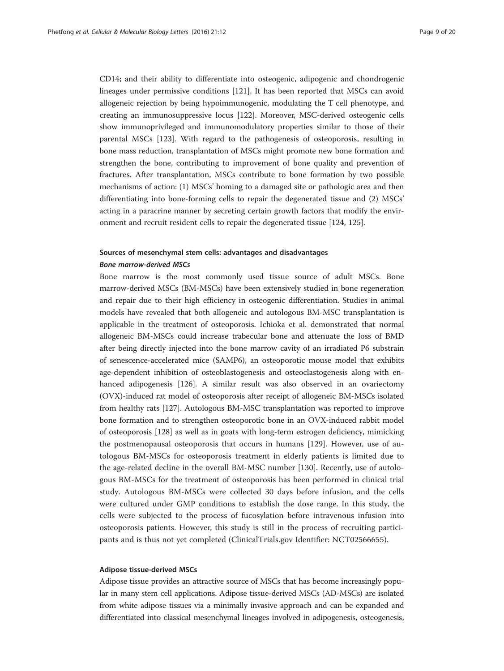CD14; and their ability to differentiate into osteogenic, adipogenic and chondrogenic lineages under permissive conditions [[121](#page-18-0)]. It has been reported that MSCs can avoid allogeneic rejection by being hypoimmunogenic, modulating the T cell phenotype, and creating an immunosuppressive locus [[122](#page-18-0)]. Moreover, MSC-derived osteogenic cells show immunoprivileged and immunomodulatory properties similar to those of their parental MSCs [\[123](#page-18-0)]. With regard to the pathogenesis of osteoporosis, resulting in bone mass reduction, transplantation of MSCs might promote new bone formation and strengthen the bone, contributing to improvement of bone quality and prevention of fractures. After transplantation, MSCs contribute to bone formation by two possible mechanisms of action: (1) MSCs' homing to a damaged site or pathologic area and then differentiating into bone-forming cells to repair the degenerated tissue and (2) MSCs' acting in a paracrine manner by secreting certain growth factors that modify the environment and recruit resident cells to repair the degenerated tissue [\[124, 125\]](#page-18-0).

## Sources of mesenchymal stem cells: advantages and disadvantages Bone marrow-derived MSCs

Bone marrow is the most commonly used tissue source of adult MSCs. Bone marrow-derived MSCs (BM-MSCs) have been extensively studied in bone regeneration and repair due to their high efficiency in osteogenic differentiation. Studies in animal models have revealed that both allogeneic and autologous BM-MSC transplantation is applicable in the treatment of osteoporosis. Ichioka et al. demonstrated that normal allogeneic BM-MSCs could increase trabecular bone and attenuate the loss of BMD after being directly injected into the bone marrow cavity of an irradiated P6 substrain of senescence-accelerated mice (SAMP6), an osteoporotic mouse model that exhibits age-dependent inhibition of osteoblastogenesis and osteoclastogenesis along with enhanced adipogenesis [[126\]](#page-18-0). A similar result was also observed in an ovariectomy (OVX)-induced rat model of osteoporosis after receipt of allogeneic BM-MSCs isolated from healthy rats [[127\]](#page-18-0). Autologous BM-MSC transplantation was reported to improve bone formation and to strengthen osteoporotic bone in an OVX-induced rabbit model of osteoporosis [[128\]](#page-18-0) as well as in goats with long-term estrogen deficiency, mimicking the postmenopausal osteoporosis that occurs in humans [[129\]](#page-18-0). However, use of autologous BM-MSCs for osteoporosis treatment in elderly patients is limited due to the age-related decline in the overall BM-MSC number [\[130](#page-18-0)]. Recently, use of autologous BM-MSCs for the treatment of osteoporosis has been performed in clinical trial study. Autologous BM-MSCs were collected 30 days before infusion, and the cells were cultured under GMP conditions to establish the dose range. In this study, the cells were subjected to the process of fucosylation before intravenous infusion into osteoporosis patients. However, this study is still in the process of recruiting participants and is thus not yet completed (ClinicalTrials.gov Identifier: NCT02566655).

## Adipose tissue-derived MSCs

Adipose tissue provides an attractive source of MSCs that has become increasingly popular in many stem cell applications. Adipose tissue-derived MSCs (AD-MSCs) are isolated from white adipose tissues via a minimally invasive approach and can be expanded and differentiated into classical mesenchymal lineages involved in adipogenesis, osteogenesis,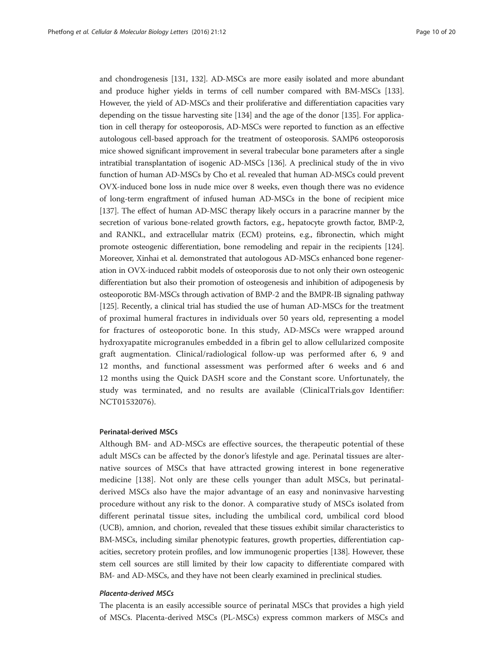and chondrogenesis [\[131, 132](#page-18-0)]. AD-MSCs are more easily isolated and more abundant and produce higher yields in terms of cell number compared with BM-MSCs [[133](#page-18-0)]. However, the yield of AD-MSCs and their proliferative and differentiation capacities vary depending on the tissue harvesting site [\[134\]](#page-18-0) and the age of the donor [[135](#page-18-0)]. For application in cell therapy for osteoporosis, AD-MSCs were reported to function as an effective autologous cell-based approach for the treatment of osteoporosis. SAMP6 osteoporosis mice showed significant improvement in several trabecular bone parameters after a single intratibial transplantation of isogenic AD-MSCs [\[136\]](#page-18-0). A preclinical study of the in vivo function of human AD-MSCs by Cho et al. revealed that human AD-MSCs could prevent OVX-induced bone loss in nude mice over 8 weeks, even though there was no evidence of long-term engraftment of infused human AD-MSCs in the bone of recipient mice [[137](#page-18-0)]. The effect of human AD-MSC therapy likely occurs in a paracrine manner by the secretion of various bone-related growth factors, e.g., hepatocyte growth factor, BMP-2, and RANKL, and extracellular matrix (ECM) proteins, e.g., fibronectin, which might promote osteogenic differentiation, bone remodeling and repair in the recipients [[124](#page-18-0)]. Moreover, Xinhai et al. demonstrated that autologous AD-MSCs enhanced bone regeneration in OVX-induced rabbit models of osteoporosis due to not only their own osteogenic differentiation but also their promotion of osteogenesis and inhibition of adipogenesis by osteoporotic BM-MSCs through activation of BMP-2 and the BMPR-IB signaling pathway [[125](#page-18-0)]. Recently, a clinical trial has studied the use of human AD-MSCs for the treatment of proximal humeral fractures in individuals over 50 years old, representing a model for fractures of osteoporotic bone. In this study, AD-MSCs were wrapped around hydroxyapatite microgranules embedded in a fibrin gel to allow cellularized composite graft augmentation. Clinical/radiological follow-up was performed after 6, 9 and 12 months, and functional assessment was performed after 6 weeks and 6 and 12 months using the Quick DASH score and the Constant score. Unfortunately, the study was terminated, and no results are available (ClinicalTrials.gov Identifier: NCT01532076).

## Perinatal-derived MSCs

Although BM- and AD-MSCs are effective sources, the therapeutic potential of these adult MSCs can be affected by the donor's lifestyle and age. Perinatal tissues are alternative sources of MSCs that have attracted growing interest in bone regenerative medicine [[138\]](#page-18-0). Not only are these cells younger than adult MSCs, but perinatalderived MSCs also have the major advantage of an easy and noninvasive harvesting procedure without any risk to the donor. A comparative study of MSCs isolated from different perinatal tissue sites, including the umbilical cord, umbilical cord blood (UCB), amnion, and chorion, revealed that these tissues exhibit similar characteristics to BM-MSCs, including similar phenotypic features, growth properties, differentiation capacities, secretory protein profiles, and low immunogenic properties [[138](#page-18-0)]. However, these stem cell sources are still limited by their low capacity to differentiate compared with BM- and AD-MSCs, and they have not been clearly examined in preclinical studies.

## Placenta-derived MSCs

The placenta is an easily accessible source of perinatal MSCs that provides a high yield of MSCs. Placenta-derived MSCs (PL-MSCs) express common markers of MSCs and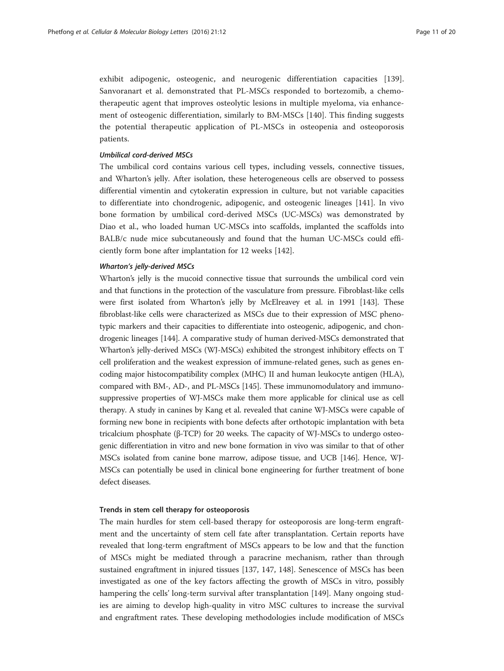exhibit adipogenic, osteogenic, and neurogenic differentiation capacities [\[139](#page-18-0)]. Sanvoranart et al. demonstrated that PL-MSCs responded to bortezomib, a chemotherapeutic agent that improves osteolytic lesions in multiple myeloma, via enhancement of osteogenic differentiation, similarly to BM-MSCs [\[140](#page-18-0)]. This finding suggests the potential therapeutic application of PL-MSCs in osteopenia and osteoporosis patients.

## Umbilical cord-derived MSCs

The umbilical cord contains various cell types, including vessels, connective tissues, and Wharton's jelly. After isolation, these heterogeneous cells are observed to possess differential vimentin and cytokeratin expression in culture, but not variable capacities to differentiate into chondrogenic, adipogenic, and osteogenic lineages [[141](#page-18-0)]. In vivo bone formation by umbilical cord-derived MSCs (UC-MSCs) was demonstrated by Diao et al., who loaded human UC-MSCs into scaffolds, implanted the scaffolds into BALB/c nude mice subcutaneously and found that the human UC-MSCs could efficiently form bone after implantation for 12 weeks [[142](#page-18-0)].

## Wharton's jelly-derived MSCs

Wharton's jelly is the mucoid connective tissue that surrounds the umbilical cord vein and that functions in the protection of the vasculature from pressure. Fibroblast-like cells were first isolated from Wharton's jelly by McElreavey et al. in 1991 [\[143](#page-18-0)]. These fibroblast-like cells were characterized as MSCs due to their expression of MSC phenotypic markers and their capacities to differentiate into osteogenic, adipogenic, and chondrogenic lineages [\[144](#page-18-0)]. A comparative study of human derived-MSCs demonstrated that Wharton's jelly-derived MSCs (WJ-MSCs) exhibited the strongest inhibitory effects on T cell proliferation and the weakest expression of immune-related genes, such as genes encoding major histocompatibility complex (MHC) II and human leukocyte antigen (HLA), compared with BM-, AD-, and PL-MSCs [\[145\]](#page-18-0). These immunomodulatory and immunosuppressive properties of WJ-MSCs make them more applicable for clinical use as cell therapy. A study in canines by Kang et al. revealed that canine WJ-MSCs were capable of forming new bone in recipients with bone defects after orthotopic implantation with beta tricalcium phosphate (β-TCP) for 20 weeks. The capacity of WJ-MSCs to undergo osteogenic differentiation in vitro and new bone formation in vivo was similar to that of other MSCs isolated from canine bone marrow, adipose tissue, and UCB [\[146\]](#page-18-0). Hence, WJ-MSCs can potentially be used in clinical bone engineering for further treatment of bone defect diseases.

## Trends in stem cell therapy for osteoporosis

The main hurdles for stem cell-based therapy for osteoporosis are long-term engraftment and the uncertainty of stem cell fate after transplantation. Certain reports have revealed that long-term engraftment of MSCs appears to be low and that the function of MSCs might be mediated through a paracrine mechanism, rather than through sustained engraftment in injured tissues [\[137, 147, 148](#page-18-0)]. Senescence of MSCs has been investigated as one of the key factors affecting the growth of MSCs in vitro, possibly hampering the cells' long-term survival after transplantation [\[149\]](#page-19-0). Many ongoing studies are aiming to develop high-quality in vitro MSC cultures to increase the survival and engraftment rates. These developing methodologies include modification of MSCs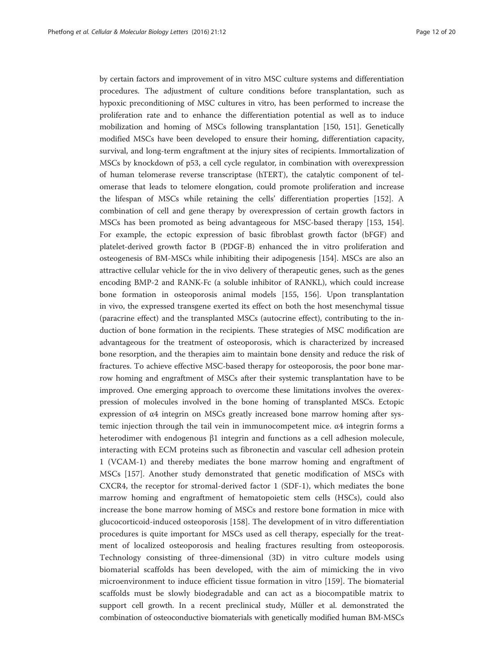by certain factors and improvement of in vitro MSC culture systems and differentiation procedures. The adjustment of culture conditions before transplantation, such as hypoxic preconditioning of MSC cultures in vitro, has been performed to increase the proliferation rate and to enhance the differentiation potential as well as to induce mobilization and homing of MSCs following transplantation [\[150, 151\]](#page-19-0). Genetically modified MSCs have been developed to ensure their homing, differentiation capacity, survival, and long-term engraftment at the injury sites of recipients. Immortalization of MSCs by knockdown of p53, a cell cycle regulator, in combination with overexpression of human telomerase reverse transcriptase (hTERT), the catalytic component of telomerase that leads to telomere elongation, could promote proliferation and increase the lifespan of MSCs while retaining the cells' differentiation properties [[152\]](#page-19-0). A combination of cell and gene therapy by overexpression of certain growth factors in MSCs has been promoted as being advantageous for MSC-based therapy [\[153](#page-19-0), [154](#page-19-0)]. For example, the ectopic expression of basic fibroblast growth factor (bFGF) and platelet-derived growth factor B (PDGF-B) enhanced the in vitro proliferation and osteogenesis of BM-MSCs while inhibiting their adipogenesis [\[154\]](#page-19-0). MSCs are also an attractive cellular vehicle for the in vivo delivery of therapeutic genes, such as the genes encoding BMP-2 and RANK-Fc (a soluble inhibitor of RANKL), which could increase bone formation in osteoporosis animal models [\[155, 156](#page-19-0)]. Upon transplantation in vivo, the expressed transgene exerted its effect on both the host mesenchymal tissue (paracrine effect) and the transplanted MSCs (autocrine effect), contributing to the induction of bone formation in the recipients. These strategies of MSC modification are advantageous for the treatment of osteoporosis, which is characterized by increased bone resorption, and the therapies aim to maintain bone density and reduce the risk of fractures. To achieve effective MSC-based therapy for osteoporosis, the poor bone marrow homing and engraftment of MSCs after their systemic transplantation have to be improved. One emerging approach to overcome these limitations involves the overexpression of molecules involved in the bone homing of transplanted MSCs. Ectopic expression of  $\alpha$ 4 integrin on MSCs greatly increased bone marrow homing after systemic injection through the tail vein in immunocompetent mice.  $\alpha$ 4 integrin forms a heterodimer with endogenous β1 integrin and functions as a cell adhesion molecule, interacting with ECM proteins such as fibronectin and vascular cell adhesion protein 1 (VCAM-1) and thereby mediates the bone marrow homing and engraftment of MSCs [[157](#page-19-0)]. Another study demonstrated that genetic modification of MSCs with CXCR4, the receptor for stromal-derived factor 1 (SDF-1), which mediates the bone marrow homing and engraftment of hematopoietic stem cells (HSCs), could also increase the bone marrow homing of MSCs and restore bone formation in mice with glucocorticoid-induced osteoporosis [[158\]](#page-19-0). The development of in vitro differentiation procedures is quite important for MSCs used as cell therapy, especially for the treatment of localized osteoporosis and healing fractures resulting from osteoporosis. Technology consisting of three-dimensional (3D) in vitro culture models using biomaterial scaffolds has been developed, with the aim of mimicking the in vivo microenvironment to induce efficient tissue formation in vitro [[159](#page-19-0)]. The biomaterial scaffolds must be slowly biodegradable and can act as a biocompatible matrix to support cell growth. In a recent preclinical study, Müller et al. demonstrated the combination of osteoconductive biomaterials with genetically modified human BM-MSCs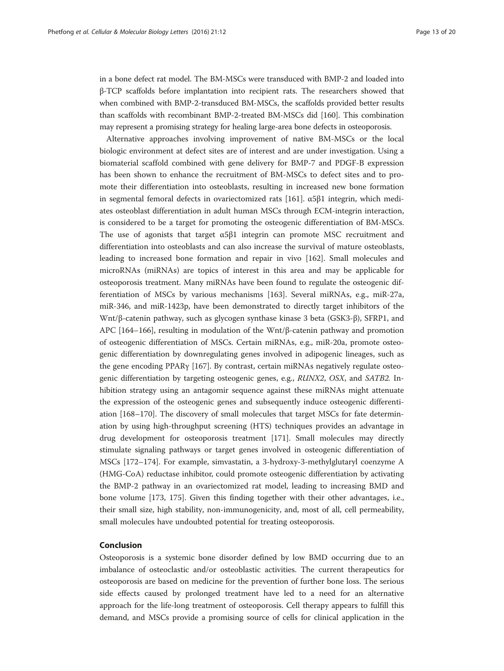in a bone defect rat model. The BM-MSCs were transduced with BMP-2 and loaded into β-TCP scaffolds before implantation into recipient rats. The researchers showed that when combined with BMP-2-transduced BM-MSCs, the scaffolds provided better results than scaffolds with recombinant BMP-2-treated BM-MSCs did [\[160\]](#page-19-0). This combination may represent a promising strategy for healing large-area bone defects in osteoporosis.

Alternative approaches involving improvement of native BM-MSCs or the local biologic environment at defect sites are of interest and are under investigation. Using a biomaterial scaffold combined with gene delivery for BMP-7 and PDGF-B expression has been shown to enhance the recruitment of BM-MSCs to defect sites and to promote their differentiation into osteoblasts, resulting in increased new bone formation in segmental femoral defects in ovariectomized rats [\[161\]](#page-19-0).  $\alpha$ 5β1 integrin, which mediates osteoblast differentiation in adult human MSCs through ECM-integrin interaction, is considered to be a target for promoting the osteogenic differentiation of BM-MSCs. The use of agonists that target  $\alpha$ 5β1 integrin can promote MSC recruitment and differentiation into osteoblasts and can also increase the survival of mature osteoblasts, leading to increased bone formation and repair in vivo [\[162](#page-19-0)]. Small molecules and microRNAs (miRNAs) are topics of interest in this area and may be applicable for osteoporosis treatment. Many miRNAs have been found to regulate the osteogenic differentiation of MSCs by various mechanisms [\[163\]](#page-19-0). Several miRNAs, e.g., miR-27a, miR-346, and miR-1423p, have been demonstrated to directly target inhibitors of the Wnt/β-catenin pathway, such as glycogen synthase kinase 3 beta (GSK3-β), SFRP1, and APC [\[164](#page-19-0)–[166\]](#page-19-0), resulting in modulation of the Wnt/ $\beta$ -catenin pathway and promotion of osteogenic differentiation of MSCs. Certain miRNAs, e.g., miR-20a, promote osteogenic differentiation by downregulating genes involved in adipogenic lineages, such as the gene encoding PPARγ [[167\]](#page-19-0). By contrast, certain miRNAs negatively regulate osteogenic differentiation by targeting osteogenic genes, e.g., RUNX2, OSX, and SATB2. Inhibition strategy using an antagomir sequence against these miRNAs might attenuate the expression of the osteogenic genes and subsequently induce osteogenic differentiation [[168](#page-19-0)–[170](#page-19-0)]. The discovery of small molecules that target MSCs for fate determination by using high-throughput screening (HTS) techniques provides an advantage in drug development for osteoporosis treatment [[171](#page-19-0)]. Small molecules may directly stimulate signaling pathways or target genes involved in osteogenic differentiation of MSCs [[172](#page-19-0)–[174](#page-19-0)]. For example, simvastatin, a 3-hydroxy-3-methylglutaryl coenzyme A (HMG-CoA) reductase inhibitor, could promote osteogenic differentiation by activating the BMP-2 pathway in an ovariectomized rat model, leading to increasing BMD and bone volume [\[173, 175\]](#page-19-0). Given this finding together with their other advantages, i.e., their small size, high stability, non-immunogenicity, and, most of all, cell permeability, small molecules have undoubted potential for treating osteoporosis.

### Conclusion

Osteoporosis is a systemic bone disorder defined by low BMD occurring due to an imbalance of osteoclastic and/or osteoblastic activities. The current therapeutics for osteoporosis are based on medicine for the prevention of further bone loss. The serious side effects caused by prolonged treatment have led to a need for an alternative approach for the life-long treatment of osteoporosis. Cell therapy appears to fulfill this demand, and MSCs provide a promising source of cells for clinical application in the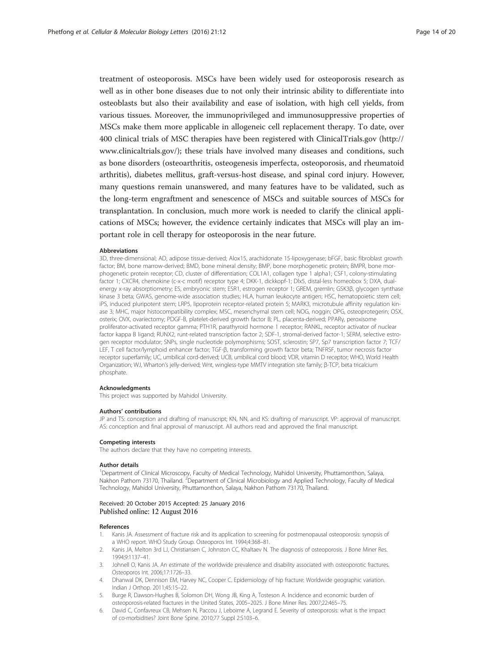<span id="page-13-0"></span>treatment of osteoporosis. MSCs have been widely used for osteoporosis research as well as in other bone diseases due to not only their intrinsic ability to differentiate into osteoblasts but also their availability and ease of isolation, with high cell yields, from various tissues. Moreover, the immunoprivileged and immunosuppressive properties of MSCs make them more applicable in allogeneic cell replacement therapy. To date, over 400 clinical trials of MSC therapies have been registered with ClinicalTrials.gov [\(http://](http://www.clinicaltrials.gov/) [www.clinicaltrials.gov/](http://www.clinicaltrials.gov/)); these trials have involved many diseases and conditions, such as bone disorders (osteoarthritis, osteogenesis imperfecta, osteoporosis, and rheumatoid arthritis), diabetes mellitus, graft-versus-host disease, and spinal cord injury. However, many questions remain unanswered, and many features have to be validated, such as the long-term engraftment and senescence of MSCs and suitable sources of MSCs for transplantation. In conclusion, much more work is needed to clarify the clinical applications of MSCs; however, the evidence certainly indicates that MSCs will play an important role in cell therapy for osteoporosis in the near future.

#### Abbreviations

3D, three-dimensional; AD, adipose tissue-derived; Alox15, arachidonate 15-lipoxygenase; bFGF, basic fibroblast growth factor; BM, bone marrow-derived; BMD, bone mineral density; BMP, bone morphogenetic protein; BMPR, bone morphogenetic protein receptor; CD, cluster of differentiation; COL1A1, collagen type 1 alpha1; CSF1, colony-stimulating factor 1; CXCR4, chemokine (c-x-c motif) receptor type 4; DKK-1, dickkopf-1; Dlx5, distal-less homeobox 5; DXA, dualenergy x-ray absorptiometry; ES, embryonic stem; ESR1, estrogen receptor 1; GREM, gremlin; GSK3β, glycogen synthase kinase 3 beta; GWAS, genome-wide association studies; HLA, human leukocyte antigen; HSC, hematopoietic stem cell; iPS, induced pluripotent stem; LRP5, lipoprotein receptor-related protein 5; MARK3, microtubule affinity regulation kinase 3; MHC, major histocompatibility complex; MSC, mesenchymal stem cell; NOG, noggin; OPG, osteoprotegerin; OSX, osterix; OVX, ovariectomy; PDGF-B, platelet-derived growth factor B; PL, placenta-derived; PPARγ, peroxisome proliferator-activated receptor gamma; PTH1R, parathyroid hormone 1 receptor; RANKL, receptor activator of nuclear factor kappa B ligand; RUNX2, runt-related transcription factor 2; SDF-1, stromal-derived factor-1; SERM, selective estrogen receptor modulator; SNPs, single nucleotide polymorphisms; SOST, sclerostin; SP7, Sp7 transcription factor 7; TCF/ LEF, T cell factor/lymphoid enhancer factor; TGF-β, transforming growth factor beta; TNFRSF, tumor necrosis factor receptor superfamily; UC, umbilical cord-derived; UCB, umbilical cord blood; VDR, vitamin D receptor; WHO, World Health Organization; WJ, Wharton's jelly-derived; Wnt, wingless-type MMTV integration site family; β-TCP, beta tricalcium phosphate.

#### Acknowledgments

This project was supported by Mahidol University.

#### Authors' contributions

JP and TS: conception and drafting of manuscript; KN, NN, and KS: drafting of manuscript. VP: approval of manuscript. AS: conception and final approval of manuscript. All authors read and approved the final manuscript.

#### Competing interests

The authors declare that they have no competing interests.

#### Author details

<sup>1</sup>Department of Clinical Microscopy, Faculty of Medical Technology, Mahidol University, Phuttamonthon, Salaya, Nakhon Pathom 73170, Thailand. <sup>2</sup> Department of Clinical Microbiology and Applied Technology, Faculty of Medical Technology, Mahidol University, Phuttamonthon, Salaya, Nakhon Pathom 73170, Thailand.

### Received: 20 October 2015 Accepted: 25 January 2016 Published online: 12 August 2016

#### References

- 1. Kanis JA. Assessment of fracture risk and its application to screening for postmenopausal osteoporosis: synopsis of a WHO report. WHO Study Group. Osteoporos Int. 1994;4:368–81.
- 2. Kanis JA, Melton 3rd LJ, Christiansen C, Johnston CC, Khaltaev N. The diagnosis of osteoporosis. J Bone Miner Res. 1994;9:1137–41.
- 3. Johnell O, Kanis JA. An estimate of the worldwide prevalence and disability associated with osteoporotic fractures. Osteoporos Int. 2006;17:1726–33.
- 4. Dhanwal DK, Dennison EM, Harvey NC, Cooper C. Epidemiology of hip fracture: Worldwide geographic variation. Indian J Orthop. 2011;45:15–22.
- 5. Burge R, Dawson-Hughes B, Solomon DH, Wong JB, King A, Tosteson A. Incidence and economic burden of osteoporosis-related fractures in the United States, 2005–2025. J Bone Miner Res. 2007;22:465–75.
- 6. David C, Confavreux CB, Mehsen N, Paccou J, Leboime A, Legrand E. Severity of osteoporosis: what is the impact of co-morbidities? Joint Bone Spine. 2010;77 Suppl 2:S103–6.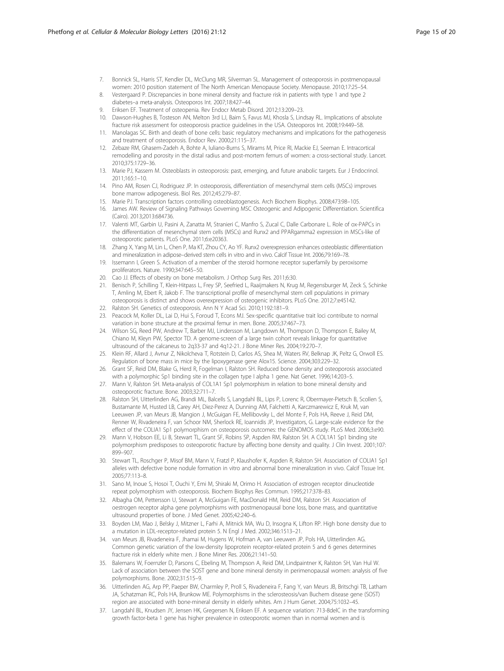- <span id="page-14-0"></span>7. Bonnick SL, Harris ST, Kendler DL, McClung MR, Silverman SL. Management of osteoporosis in postmenopausal women: 2010 position statement of The North American Menopause Society. Menopause. 2010;17:25–54.
- 8. Vestergaard P. Discrepancies in bone mineral density and fracture risk in patients with type 1 and type 2 diabetes–a meta-analysis. Osteoporos Int. 2007;18:427–44.
- 9. Eriksen EF. Treatment of osteopenia. Rev Endocr Metab Disord. 2012;13:209–23.
- 10. Dawson-Hughes B, Tosteson AN, Melton 3rd LJ, Baim S, Favus MJ, Khosla S, Lindsay RL. Implications of absolute fracture risk assessment for osteoporosis practice guidelines in the USA. Osteoporos Int. 2008;19:449–58.
- 11. Manolagas SC. Birth and death of bone cells: basic regulatory mechanisms and implications for the pathogenesis and treatment of osteoporosis. Endocr Rev. 2000;21:115–37.
- 12. Zebaze RM, Ghasem-Zadeh A, Bohte A, Iuliano-Burns S, Mirams M, Price RI, Mackie EJ, Seeman E. Intracortical remodelling and porosity in the distal radius and post-mortem femurs of women: a cross-sectional study. Lancet. 2010;375:1729–36.
- 13. Marie PJ, Kassem M. Osteoblasts in osteoporosis: past, emerging, and future anabolic targets. Eur J Endocrinol. 2011;165:1–10.
- 14. Pino AM, Rosen CJ, Rodriguez JP. In osteoporosis, differentiation of mesenchymal stem cells (MSCs) improves bone marrow adipogenesis. Biol Res. 2012;45:279–87.
- 15. Marie PJ. Transcription factors controlling osteoblastogenesis. Arch Biochem Biophys. 2008;473:98–105.
- 16. James AW. Review of Signaling Pathways Governing MSC Osteogenic and Adipogenic Differentiation. Scientifica (Cairo). 2013;2013:684736.
- 17. Valenti MT, Garbin U, Pasini A, Zanatta M, Stranieri C, Manfro S, Zucal C, Dalle Carbonare L. Role of ox-PAPCs in the differentiation of mesenchymal stem cells (MSCs) and Runx2 and PPARgamma2 expression in MSCs-like of osteoporotic patients. PLoS One. 2011;6:e20363.
- 18. Zhang X, Yang M, Lin L, Chen P, Ma KT, Zhou CY, Ao YF. Runx2 overexpression enhances osteoblastic differentiation and mineralization in adipose–derived stem cells in vitro and in vivo. Calcif Tissue Int. 2006;79:169–78.
- 19. Issemann I, Green S. Activation of a member of the steroid hormone receptor superfamily by peroxisome proliferators. Nature. 1990;347:645–50.
- 20. Cao JJ. Effects of obesity on bone metabolism. J Orthop Surg Res. 2011;6:30.
- 21. Benisch P, Schilling T, Klein-Hitpass L, Frey SP, Seefried L, Raaijmakers N, Krug M, Regensburger M, Zeck S, Schinke T, Amling M, Ebert R, Jakob F. The transcriptional profile of mesenchymal stem cell populations in primary osteoporosis is distinct and shows overexpression of osteogenic inhibitors. PLoS One. 2012;7:e45142.
- 22. Ralston SH. Genetics of osteoporosis. Ann N Y Acad Sci. 2010;1192:181–9.
- 23. Peacock M, Koller DL, Lai D, Hui S, Foroud T, Econs MJ. Sex-specific quantitative trait loci contribute to normal variation in bone structure at the proximal femur in men. Bone. 2005;37:467–73.
- 24. Wilson SG, Reed PW, Andrew T, Barber MJ, Lindersson M, Langdown M, Thompson D, Thompson E, Bailey M, Chiano M, Kleyn PW, Spector TD. A genome-screen of a large twin cohort reveals linkage for quantitative ultrasound of the calcaneus to 2q33-37 and 4q12-21. J Bone Miner Res. 2004;19:270–7.
- 25. Klein RF, Allard J, Avnur Z, Nikolcheva T, Rotstein D, Carlos AS, Shea M, Waters RV, Belknap JK, Peltz G, Orwoll ES. Regulation of bone mass in mice by the lipoxygenase gene Alox15. Science. 2004;303:229–32.
- 26. Grant SF, Reid DM, Blake G, Herd R, Fogelman I, Ralston SH. Reduced bone density and osteoporosis associated with a polymorphic Sp1 binding site in the collagen type I alpha 1 gene. Nat Genet. 1996;14:203–5.
- 27. Mann V, Ralston SH. Meta-analysis of COL1A1 Sp1 polymorphism in relation to bone mineral density and osteoporotic fracture. Bone. 2003;32:711–7.
- 28. Ralston SH, Uitterlinden AG, Brandi ML, Balcells S, Langdahl BL, Lips P, Lorenc R, Obermayer-Pietsch B, Scollen S, Bustamante M, Husted LB, Carey AH, Diez-Perez A, Dunning AM, Falchetti A, Karczmarewicz E, Kruk M, van Leeuwen JP, van Meurs JB, Mangion J, McGuigan FE, Mellibovsky L, del Monte F, Pols HA, Reeve J, Reid DM, Renner W, Rivadeneira F, van Schoor NM, Sherlock RE, Ioannidis JP, Investigators, G. Large-scale evidence for the effect of the COLIA1 Sp1 polymorphism on osteoporosis outcomes: the GENOMOS study. PLoS Med. 2006;3:e90.
- 29. Mann V, Hobson EE, Li B, Stewart TL, Grant SF, Robins SP, Aspden RM, Ralston SH. A COL1A1 Sp1 binding site polymorphism predisposes to osteoporotic fracture by affecting bone density and quality. J Clin Invest. 2001;107: 899–907.
- 30. Stewart TL, Roschger P, Misof BM, Mann V, Fratzl P, Klaushofer K, Aspden R, Ralston SH. Association of COLIA1 Sp1 alleles with defective bone nodule formation in vitro and abnormal bone mineralization in vivo. Calcif Tissue Int. 2005;77:113–8.
- 31. Sano M, Inoue S, Hosoi T, Ouchi Y, Emi M, Shiraki M, Orimo H. Association of estrogen receptor dinucleotide repeat polymorphism with osteoporosis. Biochem Biophys Res Commun. 1995;217:378–83.
- 32. Albagha OM, Pettersson U, Stewart A, McGuigan FE, MacDonald HM, Reid DM, Ralston SH. Association of oestrogen receptor alpha gene polymorphisms with postmenopausal bone loss, bone mass, and quantitative ultrasound properties of bone. J Med Genet. 2005;42:240–6.
- 33. Boyden LM, Mao J, Belsky J, Mitzner L, Farhi A, Mitnick MA, Wu D, Insogna K, Lifton RP. High bone density due to a mutation in LDL-receptor-related protein 5. N Engl J Med. 2002;346:1513–21.
- 34. van Meurs JB, Rivadeneira F, Jhamai M, Hugens W, Hofman A, van Leeuwen JP, Pols HA, Uitterlinden AG. Common genetic variation of the low-density lipoprotein receptor-related protein 5 and 6 genes determines fracture risk in elderly white men. J Bone Miner Res. 2006;21:141–50.
- 35. Balemans W, Foernzler D, Parsons C, Ebeling M, Thompson A, Reid DM, Lindpaintner K, Ralston SH, Van Hul W. Lack of association between the SOST gene and bone mineral density in perimenopausal women: analysis of five polymorphisms. Bone. 2002;31:515–9.
- 36. Uitterlinden AG, Arp PP, Paeper BW, Charmley P, Proll S, Rivadeneira F, Fang Y, van Meurs JB, Britschgi TB, Latham JA, Schatzman RC, Pols HA, Brunkow ME. Polymorphisms in the sclerosteosis/van Buchem disease gene (SOST) region are associated with bone-mineral density in elderly whites. Am J Hum Genet. 2004;75:1032–45.
- 37. Langdahl BL, Knudsen JY, Jensen HK, Gregersen N, Eriksen EF. A sequence variation: 713-8delC in the transforming growth factor-beta 1 gene has higher prevalence in osteoporotic women than in normal women and is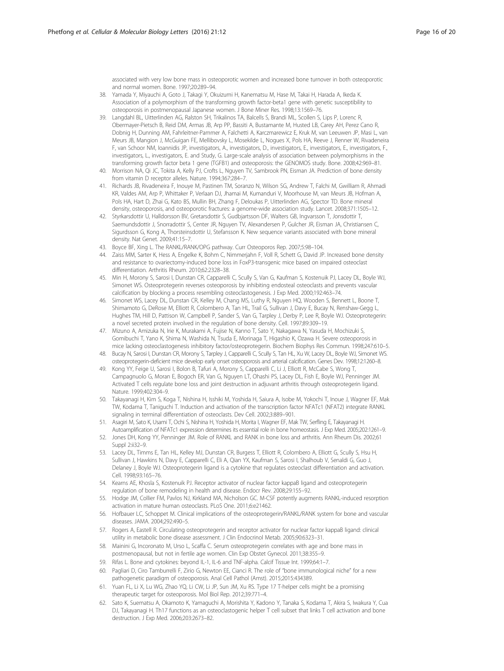<span id="page-15-0"></span>associated with very low bone mass in osteoporotic women and increased bone turnover in both osteoporotic and normal women. Bone. 1997;20:289–94.

- 38. Yamada Y, Miyauchi A, Goto J, Takagi Y, Okuizumi H, Kanematsu M, Hase M, Takai H, Harada A, Ikeda K. Association of a polymorphism of the transforming growth factor-beta1 gene with genetic susceptibility to osteoporosis in postmenopausal Japanese women. J Bone Miner Res. 1998;13:1569–76.
- 39. Langdahl BL, Uitterlinden AG, Ralston SH, Trikalinos TA, Balcells S, Brandi ML, Scollen S, Lips P, Lorenc R, Obermayer-Pietsch B, Reid DM, Armas JB, Arp PP, Bassiti A, Bustamante M, Husted LB, Carey AH, Perez Cano R, Dobnig H, Dunning AM, Fahrleitner-Pammer A, Falchetti A, Karczmarewicz E, Kruk M, van Leeuwen JP, Masi L, van Meurs JB, Mangion J, McGuigan FE, Mellibovsky L, Mosekilde L, Nogues X, Pols HA, Reeve J, Renner W, Rivadeneira F, van Schoor NM, Ioannidis JP, investigators, A., investigators, D., investigators, E., investigators, E., investigators, F., investigators, L., investigators, E. and Study, G. Large-scale analysis of association between polymorphisms in the transforming growth factor beta 1 gene (TGFB1) and osteoporosis: the GENOMOS study. Bone. 2008;42:969–81.
- 40. Morrison NA, Qi JC, Tokita A, Kelly PJ, Crofts L, Nguyen TV, Sambrook PN, Eisman JA. Prediction of bone density from vitamin D receptor alleles. Nature. 1994;367:284–7.
- 41. Richards JB, Rivadeneira F, Inouye M, Pastinen TM, Soranzo N, Wilson SG, Andrew T, Falchi M, Gwilliam R, Ahmadi KR, Valdes AM, Arp P, Whittaker P, Verlaan DJ, Jhamai M, Kumanduri V, Moorhouse M, van Meurs JB, Hofman A, Pols HA, Hart D, Zhai G, Kato BS, Mullin BH, Zhang F, Deloukas P, Uitterlinden AG, Spector TD. Bone mineral density, osteoporosis, and osteoporotic fractures: a genome-wide association study. Lancet. 2008;371:1505–12.
- 42. Styrkarsdottir U, Halldorsson BV, Gretarsdottir S, Gudbjartsson DF, Walters GB, Ingvarsson T, Jonsdottir T, Saemundsdottir J, Snorradottir S, Center JR, Nguyen TV, Alexandersen P, Gulcher JR, Eisman JA, Christiansen C, Sigurdsson G, Kong A, Thorsteinsdottir U, Stefansson K. New sequence variants associated with bone mineral density. Nat Genet. 2009;41:15–7.
- 43. Boyce BF, Xing L. The RANKL/RANK/OPG pathway. Curr Osteoporos Rep. 2007;5:98–104.
- 44. Zaiss MM, Sarter K, Hess A, Engelke K, Bohm C, Nimmerjahn F, Voll R, Schett G, David JP. Increased bone density and resistance to ovariectomy-induced bone loss in FoxP3-transgenic mice based on impaired osteoclast differentiation. Arthritis Rheum. 2010;62:2328–38.
- 45. Min H, Morony S, Sarosi I, Dunstan CR, Capparelli C, Scully S, Van G, Kaufman S, Kostenuik PJ, Lacey DL, Boyle WJ, Simonet WS. Osteoprotegerin reverses osteoporosis by inhibiting endosteal osteoclasts and prevents vascular calcification by blocking a process resembling osteoclastogenesis. J Exp Med. 2000;192:463–74.
- 46. Simonet WS, Lacey DL, Dunstan CR, Kelley M, Chang MS, Luthy R, Nguyen HQ, Wooden S, Bennett L, Boone T, Shimamoto G, DeRose M, Elliott R, Colombero A, Tan HL, Trail G, Sullivan J, Davy E, Bucay N, Renshaw-Gegg L, Hughes TM, Hill D, Pattison W, Campbell P, Sander S, Van G, Tarpley J, Derby P, Lee R, Boyle WJ. Osteoprotegerin: a novel secreted protein involved in the regulation of bone density. Cell. 1997;89:309–19.
- 47. Mizuno A, Amizuka N, Irie K, Murakami A, Fujise N, Kanno T, Sato Y, Nakagawa N, Yasuda H, Mochizuki S, Gomibuchi T, Yano K, Shima N, Washida N, Tsuda E, Morinaga T, Higashio K, Ozawa H. Severe osteoporosis in mice lacking osteoclastogenesis inhibitory factor/osteoprotegerin. Biochem Biophys Res Commun. 1998;247:610–5.
- 48. Bucay N, Sarosi I, Dunstan CR, Morony S, Tarpley J, Capparelli C, Scully S, Tan HL, Xu W, Lacey DL, Boyle WJ, Simonet WS. osteoprotegerin-deficient mice develop early onset osteoporosis and arterial calcification. Genes Dev. 1998;12:1260–8.
- 49. Kong YY, Feige U, Sarosi I, Bolon B, Tafuri A, Morony S, Capparelli C, Li J, Elliott R, McCabe S, Wong T, Campagnuolo G, Moran E, Bogoch ER, Van G, Nguyen LT, Ohashi PS, Lacey DL, Fish E, Boyle WJ, Penninger JM. Activated T cells regulate bone loss and joint destruction in adjuvant arthritis through osteoprotegerin ligand. Nature. 1999;402:304–9.
- 50. Takayanagi H, Kim S, Koga T, Nishina H, Isshiki M, Yoshida H, Saiura A, Isobe M, Yokochi T, Inoue J, Wagner EF, Mak TW, Kodama T, Taniguchi T. Induction and activation of the transcription factor NFATc1 (NFAT2) integrate RANKL signaling in terminal differentiation of osteoclasts. Dev Cell. 2002;3:889–901.
- 51. Asagiri M, Sato K, Usami T, Ochi S, Nishina H, Yoshida H, Morita I, Wagner EF, Mak TW, Serfling E, Takayanagi H. Autoamplification of NFATc1 expression determines its essential role in bone homeostasis. J Exp Med. 2005;202:1261–9.
- 52. Jones DH, Kong YY, Penninger JM. Role of RANKL and RANK in bone loss and arthritis. Ann Rheum Dis. 2002;61 Suppl 2:ii32–9.
- 53. Lacey DL, Timms E, Tan HL, Kelley MJ, Dunstan CR, Burgess T, Elliott R, Colombero A, Elliott G, Scully S, Hsu H, Sullivan J, Hawkins N, Davy E, Capparelli C, Eli A, Qian YX, Kaufman S, Sarosi I, Shalhoub V, Senaldi G, Guo J, Delaney J, Boyle WJ. Osteoprotegerin ligand is a cytokine that regulates osteoclast differentiation and activation. Cell. 1998;93:165–76.
- 54. Kearns AE, Khosla S, Kostenuik PJ. Receptor activator of nuclear factor kappaB ligand and osteoprotegerin regulation of bone remodeling in health and disease. Endocr Rev. 2008;29:155–92.
- 55. Hodge JM, Collier FM, Pavlos NJ, Kirkland MA, Nicholson GC. M-CSF potently augments RANKL-induced resorption activation in mature human osteoclasts. PLoS One. 2011;6:e21462.
- 56. Hofbauer LC, Schoppet M. Clinical implications of the osteoprotegerin/RANKL/RANK system for bone and vascular diseases. JAMA. 2004;292:490–5.
- 57. Rogers A, Eastell R. Circulating osteoprotegerin and receptor activator for nuclear factor kappaB ligand: clinical utility in metabolic bone disease assessment. J Clin Endocrinol Metab. 2005;90:6323–31.
- 58. Mainini G, Incoronato M, Urso L, Scaffa C. Serum osteoprotegerin correlates with age and bone mass in postmenopausal, but not in fertile age women. Clin Exp Obstet Gynecol. 2011;38:355–9.
- 59. Rifas L. Bone and cytokines: beyond IL-1, IL-6 and TNF-alpha. Calcif Tissue Int. 1999;64:1–7.
- 60. Pagliari D, Ciro Tamburrelli F, Zirio G, Newton EE, Cianci R. The role of "bone immunological niche" for a new pathogenetic paradigm of osteoporosis. Anal Cell Pathol (Amst). 2015;2015:434389.
- 61. Yuan FL, Li X, Lu WG, Zhao YQ, Li CW, Li JP, Sun JM, Xu RS. Type 17 T-helper cells might be a promising therapeutic target for osteoporosis. Mol Biol Rep. 2012;39:771–4.
- 62. Sato K, Suematsu A, Okamoto K, Yamaguchi A, Morishita Y, Kadono Y, Tanaka S, Kodama T, Akira S, Iwakura Y, Cua DJ, Takayanagi H. Th17 functions as an osteoclastogenic helper T cell subset that links T cell activation and bone destruction. J Exp Med. 2006;203:2673–82.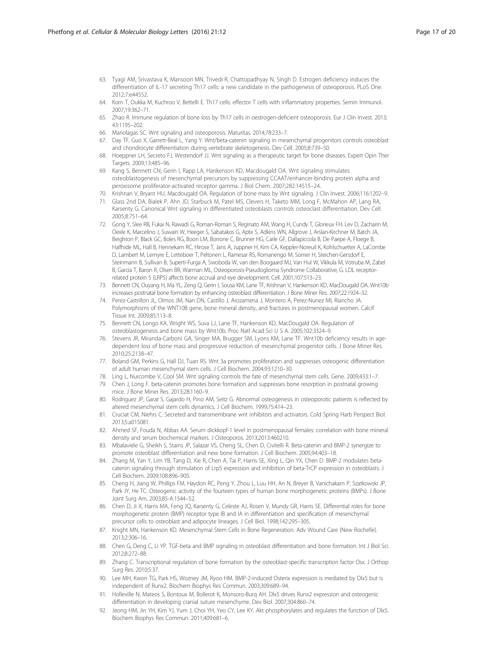- <span id="page-16-0"></span>63. Tyagi AM, Srivastava K, Mansoori MN, Trivedi R, Chattopadhyay N, Singh D. Estrogen deficiency induces the differentiation of IL-17 secreting Th17 cells: a new candidate in the pathogenesis of osteoporosis. PLoS One. 2012;7:e44552.
- 64. Korn T, Oukka M, Kuchroo V, Bettelli E. Th17 cells: effector T cells with inflammatory properties. Semin Immunol. 2007;19:362–71.
- 65. Zhao R. Immune regulation of bone loss by Th17 cells in oestrogen-deficient osteoporosis. Eur J Clin Invest. 2013; 43:1195–202.
- 66. Manolagas SC. Wnt signaling and osteoporosis. Maturitas. 2014;78:233–7.
- 67. Day TF, Guo X, Garrett-Beal L, Yang Y. Wnt/beta-catenin signaling in mesenchymal progenitors controls osteoblast and chondrocyte differentiation during vertebrate skeletogenesis. Dev Cell. 2005;8:739–50.
- 68. Hoeppner LH, Secreto FJ, Westendorf JJ. Wnt signaling as a therapeutic target for bone diseases. Expert Opin Ther Targets. 2009;13:485–96.
- 69. Kang S, Bennett CN, Gerin I, Rapp LA, Hankenson KD, Macdougald OA. Wnt signaling stimulates osteoblastogenesis of mesenchymal precursors by suppressing CCAAT/enhancer-binding protein alpha and peroxisome proliferator-activated receptor gamma. J Biol Chem. 2007;282:14515–24.
- 70. Krishnan V, Bryant HU, Macdougald OA. Regulation of bone mass by Wnt signaling. J Clin Invest. 2006;116:1202–9.
- 71. Glass 2nd DA, Bialek P, Ahn JD, Starbuck M, Patel MS, Clevers H, Taketo MM, Long F, McMahon AP, Lang RA, Karsenty G. Canonical Wnt signaling in differentiated osteoblasts controls osteoclast differentiation. Dev Cell. 2005;8:751–64.
- 72. Gong Y, Slee RB, Fukai N, Rawadi G, Roman-Roman S, Reginato AM, Wang H, Cundy T, Glorieux FH, Lev D, Zacharin M, Oexle K, Marcelino J, Suwairi W, Heeger S, Sabatakos G, Apte S, Adkins WN, Allgrove J, Arslan-Kirchner M, Batch JA, Beighton P, Black GC, Boles RG, Boon LM, Borrone C, Brunner HG, Carle GF, Dallapiccola B, De Paepe A, Floege B, Halfhide ML, Hall B, Hennekam RC, Hirose T, Jans A, Juppner H, Kim CA, Keppler-Noreuil K, Kohlschuetter A, LaCombe D, Lambert M, Lemyre E, Letteboer T, Peltonen L, Ramesar RS, Romanengo M, Somer H, Steichen-Gersdorf E, Steinmann B, Sullivan B, Superti-Furga A, Swoboda W, van den Boogaard MJ, Van Hul W, Vikkula M, Votruba M, Zabel B, Garcia T, Baron R, Olsen BR, Warman ML, Osteoporosis-Pseudoglioma Syndrome Collaborative, G. LDL receptorrelated protein 5 (LRP5) affects bone accrual and eye development. Cell. 2001;107:513–23.
- 73. Bennett CN, Ouyang H, Ma YL, Zeng Q, Gerin I, Sousa KM, Lane TF, Krishnan V, Hankenson KD, MacDougald OA. Wnt10b increases postnatal bone formation by enhancing osteoblast differentiation. J Bone Miner Res. 2007;22:1924–32.
- 74. Perez-Castrillon JL, Olmos JM, Nan DN, Castillo J, Arozamena J, Montero A, Perez-Nunez MI, Riancho JA. Polymorphisms of the WNT10B gene, bone mineral density, and fractures in postmenopausal women. Calcif Tissue Int. 2009;85:113–8.
- 75. Bennett CN, Longo KA, Wright WS, Suva LJ, Lane TF, Hankenson KD, MacDougald OA. Regulation of osteoblastogenesis and bone mass by Wnt10b. Proc Natl Acad Sci U S A. 2005;102:3324–9.
- 76. Stevens JR, Miranda-Carboni GA, Singer MA, Brugger SM, Lyons KM, Lane TF. Wnt10b deficiency results in agedependent loss of bone mass and progressive reduction of mesenchymal progenitor cells. J Bone Miner Res. 2010;25:2138–47.
- 77. Boland GM, Perkins G, Hall DJ, Tuan RS. Wnt 3a promotes proliferation and suppresses osteogenic differentiation of adult human mesenchymal stem cells. J Cell Biochem. 2004;93:1210–30.
- 78. Ling L, Nurcombe V, Cool SM. Wnt signaling controls the fate of mesenchymal stem cells. Gene. 2009;433:1–7.
- 79. Chen J, Long F. beta-catenin promotes bone formation and suppresses bone resorption in postnatal growing mice. J Bone Miner Res. 2013;28:1160–9.
- 80. Rodriguez JP, Garat S, Gajardo H, Pino AM, Seitz G. Abnormal osteogenesis in osteoporotic patients is reflected by altered mesenchymal stem cells dynamics. J Cell Biochem. 1999;75:414–23.
- 81. Cruciat CM, Niehrs C. Secreted and transmembrane wnt inhibitors and activators. Cold Spring Harb Perspect Biol. 2013;5:a015081.
- 82. Ahmed SF, Fouda N, Abbas AA. Serum dickkopf-1 level in postmenopausal females: correlation with bone mineral density and serum biochemical markers. J Osteoporos. 2013;2013:460210.
- 83. Mbalaviele G, Sheikh S, Stains JP, Salazar VS, Cheng SL, Chen D, Civitelli R. Beta-catenin and BMP-2 synergize to promote osteoblast differentiation and new bone formation. J Cell Biochem. 2005;94:403–18.
- 84. Zhang M, Yan Y, Lim YB, Tang D, Xie R, Chen A, Tai P, Harris SE, Xing L, Qin YX, Chen D. BMP-2 modulates betacatenin signaling through stimulation of Lrp5 expression and inhibition of beta-TrCP expression in osteoblasts. J Cell Biochem. 2009;108:896–905.
- 85. Cheng H, Jiang W, Phillips FM, Haydon RC, Peng Y, Zhou L, Luu HH, An N, Breyer B, Vanichakarn P, Szatkowski JP, Park JY, He TC. Osteogenic activity of the fourteen types of human bone morphogenetic proteins (BMPs). J Bone Joint Surg Am. 2003;85-A:1544–52.
- 86. Chen D, Ji X, Harris MA, Feng JQ, Karsenty G, Celeste AJ, Rosen V, Mundy GR, Harris SE. Differential roles for bone morphogenetic protein (BMP) receptor type IB and IA in differentiation and specification of mesenchymal precursor cells to osteoblast and adipocyte lineages. J Cell Biol. 1998;142:295–305.
- 87. Knight MN, Hankenson KD. Mesenchymal Stem Cells in Bone Regeneration. Adv Wound Care (New Rochelle). 2013;2:306–16.
- 88. Chen G, Deng C, Li YP. TGF-beta and BMP signaling in osteoblast differentiation and bone formation. Int J Biol Sci. 2012;8:272–88.
- 89. Zhang C. Transcriptional regulation of bone formation by the osteoblast-specific transcription factor Osx. J Orthop Surg Res. 2010;5:37.
- 90. Lee MH, Kwon TG, Park HS, Wozney JM, Ryoo HM. BMP-2-induced Osterix expression is mediated by Dlx5 but is independent of Runx2. Biochem Biophys Res Commun. 2003;309:689–94.
- 91. Holleville N, Mateos S, Bontoux M, Bollerot K, Monsoro-Burq AH. Dlx5 drives Runx2 expression and osteogenic differentiation in developing cranial suture mesenchyme. Dev Biol. 2007;304:860–74.
- 92. Jeong HM, Jin YH, Kim YJ, Yum J, Choi YH, Yeo CY, Lee KY. Akt phosphorylates and regulates the function of Dlx5. Biochem Biophys Res Commun. 2011;409:681–6.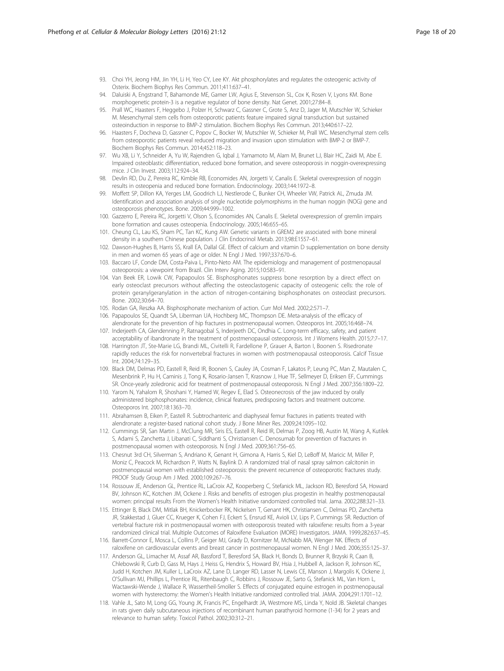- <span id="page-17-0"></span>93. Choi YH, Jeong HM, Jin YH, Li H, Yeo CY, Lee KY. Akt phosphorylates and regulates the osteogenic activity of Osterix. Biochem Biophys Res Commun. 2011;411:637–41.
- 94. Daluiski A, Engstrand T, Bahamonde ME, Gamer LW, Agius E, Stevenson SL, Cox K, Rosen V, Lyons KM. Bone morphogenetic protein-3 is a negative regulator of bone density. Nat Genet. 2001;27:84–8.
- 95. Prall WC, Haasters F, Heggebo J, Polzer H, Schwarz C, Gassner C, Grote S, Anz D, Jager M, Mutschler W, Schieker M. Mesenchymal stem cells from osteoporotic patients feature impaired signal transduction but sustained osteoinduction in response to BMP-2 stimulation. Biochem Biophys Res Commun. 2013;440:617–22.
- 96. Haasters F, Docheva D, Gassner C, Popov C, Bocker W, Mutschler W, Schieker M, Prall WC. Mesenchymal stem cells from osteoporotic patients reveal reduced migration and invasion upon stimulation with BMP-2 or BMP-7. Biochem Biophys Res Commun. 2014;452:118–23.
- 97. Wu XB, Li Y, Schneider A, Yu W, Rajendren G, Iqbal J, Yamamoto M, Alam M, Brunet LJ, Blair HC, Zaidi M, Abe E. Impaired osteoblastic differentiation, reduced bone formation, and severe osteoporosis in noggin-overexpressing mice. J Clin Invest. 2003;112:924–34.
- 98. Devlin RD, Du Z, Pereira RC, Kimble RB, Economides AN, Jorgetti V, Canalis E. Skeletal overexpression of noggin results in osteopenia and reduced bone formation. Endocrinology. 2003;144:1972–8.
- 99. Moffett SP, Dillon KA, Yerges LM, Goodrich LJ, Nestlerode C, Bunker CH, Wheeler VW, Patrick AL, Zmuda JM. Identification and association analysis of single nucleotide polymorphisms in the human noggin (NOG) gene and osteoporosis phenotypes. Bone. 2009;44:999–1002.
- 100. Gazzerro E, Pereira RC, Jorgetti V, Olson S, Economides AN, Canalis E. Skeletal overexpression of gremlin impairs bone formation and causes osteopenia. Endocrinology. 2005;146:655–65.
- 101. Cheung CL, Lau KS, Sham PC, Tan KC, Kung AW. Genetic variants in GREM2 are associated with bone mineral density in a southern Chinese population. J Clin Endocrinol Metab. 2013;98:E1557–61.
- 102. Dawson-Hughes B, Harris SS, Krall EA, Dallal GE. Effect of calcium and vitamin D supplementation on bone density in men and women 65 years of age or older. N Engl J Med. 1997;337:670–6.
- 103. Baccaro LF, Conde DM, Costa-Paiva L, Pinto-Neto AM. The epidemiology and management of postmenopausal osteoporosis: a viewpoint from Brazil. Clin Interv Aging. 2015;10:583–91.
- 104. Van Beek ER, Lowik CW, Papapoulos SE. Bisphosphonates suppress bone resorption by a direct effect on early osteoclast precursors without affecting the osteoclastogenic capacity of osteogenic cells: the role of protein geranylgeranylation in the action of nitrogen-containing bisphosphonates on osteoclast precursors. Bone. 2002;30:64–70.
- 105. Rodan GA, Reszka AA. Bisphosphonate mechanism of action. Curr Mol Med. 2002;2:571–7.
- 106. Papapoulos SE, Quandt SA, Liberman UA, Hochberg MC, Thompson DE. Meta-analysis of the efficacy of alendronate for the prevention of hip fractures in postmenopausal women. Osteoporos Int. 2005;16:468–74.
- 107. Inderjeeth CA, Glendenning P, Ratnagobal S, Inderjeeth DC, Ondhia C. Long-term efficacy, safety, and patient acceptability of ibandronate in the treatment of postmenopausal osteoporosis. Int J Womens Health. 2015;7:7–17.
- 108. Harrington JT, Ste-Marie LG, Brandi ML, Civitelli R, Fardellone P, Grauer A, Barton I, Boonen S. Risedronate rapidly reduces the risk for nonvertebral fractures in women with postmenopausal osteoporosis. Calcif Tissue Int. 2004;74:129–35.
- 109. Black DM, Delmas PD, Eastell R, Reid IR, Boonen S, Cauley JA, Cosman F, Lakatos P, Leung PC, Man Z, Mautalen C, Mesenbrink P, Hu H, Caminis J, Tong K, Rosario-Jansen T, Krasnow J, Hue TF, Sellmeyer D, Eriksen EF, Cummings SR. Once-yearly zoledronic acid for treatment of postmenopausal osteoporosis. N Engl J Med. 2007;356:1809–22.
- 110. Yarom N, Yahalom R, Shoshani Y, Hamed W, Regev E, Elad S. Osteonecrosis of the jaw induced by orally administered bisphosphonates: incidence, clinical features, predisposing factors and treatment outcome. Osteoporos Int. 2007;18:1363–70.
- 111. Abrahamsen B, Eiken P, Eastell R. Subtrochanteric and diaphyseal femur fractures in patients treated with alendronate: a register-based national cohort study. J Bone Miner Res. 2009;24:1095–102.
- 112. Cummings SR, San Martin J, McClung MR, Siris ES, Eastell R, Reid IR, Delmas P, Zoog HB, Austin M, Wang A, Kutilek S, Adami S, Zanchetta J, Libanati C, Siddhanti S, Christiansen C. Denosumab for prevention of fractures in postmenopausal women with osteoporosis. N Engl J Med. 2009;361:756–65.
- 113. Chesnut 3rd CH, Silverman S, Andriano K, Genant H, Gimona A, Harris S, Kiel D, LeBoff M, Maricic M, Miller P, Moniz C, Peacock M, Richardson P, Watts N, Baylink D. A randomized trial of nasal spray salmon calcitonin in postmenopausal women with established osteoporosis: the prevent recurrence of osteoporotic fractures study. PROOF Study Group Am J Med. 2000;109:267–76.
- 114. Rossouw JE, Anderson GL, Prentice RL, LaCroix AZ, Kooperberg C, Stefanick ML, Jackson RD, Beresford SA, Howard BV, Johnson KC, Kotchen JM, Ockene J. Risks and benefits of estrogen plus progestin in healthy postmenopausal women: principal results From the Women's Health Initiative randomized controlled trial. Jama. 2002;288:321–33.
- 115. Ettinger B, Black DM, Mitlak BH, Knickerbocker RK, Nickelsen T, Genant HK, Christiansen C, Delmas PD, Zanchetta JR, Stakkestad J, Gluer CC, Krueger K, Cohen FJ, Eckert S, Ensrud KE, Avioli LV, Lips P, Cummings SR. Reduction of vertebral fracture risk in postmenopausal women with osteoporosis treated with raloxifene: results from a 3-year randomized clinical trial. Multiple Outcomes of Raloxifene Evaluation (MORE) Investigators. JAMA. 1999;282:637–45.
- 116. Barrett-Connor E, Mosca L, Collins P, Geiger MJ, Grady D, Kornitzer M, McNabb MA, Wenger NK. Effects of raloxifene on cardiovascular events and breast cancer in postmenopausal women. N Engl J Med. 2006;355:125–37.
- 117. Anderson GL, Limacher M, Assaf AR, Bassford T, Beresford SA, Black H, Bonds D, Brunner R, Brzyski R, Caan B, Chlebowski R, Curb D, Gass M, Hays J, Heiss G, Hendrix S, Howard BV, Hsia J, Hubbell A, Jackson R, Johnson KC, Judd H, Kotchen JM, Kuller L, LaCroix AZ, Lane D, Langer RD, Lasser N, Lewis CE, Manson J, Margolis K, Ockene J, O'Sullivan MJ, Phillips L, Prentice RL, Ritenbaugh C, Robbins J, Rossouw JE, Sarto G, Stefanick ML, Van Horn L, Wactawski-Wende J, Wallace R, Wassertheil-Smoller S. Effects of conjugated equine estrogen in postmenopausal women with hysterectomy: the Women's Health Initiative randomized controlled trial. JAMA. 2004;291:1701–12.
- 118. Vahle JL, Sato M, Long GG, Young JK, Francis PC, Engelhardt JA, Westmore MS, Linda Y, Nold JB. Skeletal changes in rats given daily subcutaneous injections of recombinant human parathyroid hormone (1-34) for 2 years and relevance to human safety. Toxicol Pathol. 2002;30:312–21.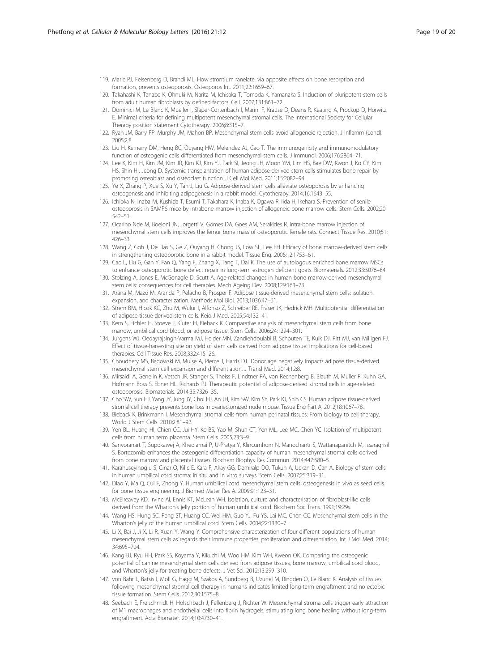- <span id="page-18-0"></span>119. Marie PJ, Felsenberg D, Brandi ML. How strontium ranelate, via opposite effects on bone resorption and formation, prevents osteoporosis. Osteoporos Int. 2011;22:1659–67.
- 120. Takahashi K, Tanabe K, Ohnuki M, Narita M, Ichisaka T, Tomoda K, Yamanaka S. Induction of pluripotent stem cells from adult human fibroblasts by defined factors. Cell. 2007;131:861–72.
- 121. Dominici M, Le Blanc K, Mueller I, Slaper-Cortenbach I, Marini F, Krause D, Deans R, Keating A, Prockop D, Horwitz E. Minimal criteria for defining multipotent mesenchymal stromal cells. The International Society for Cellular Therapy position statement Cytotherapy. 2006;8:315–7.
- 122. Ryan JM, Barry FP, Murphy JM, Mahon BP. Mesenchymal stem cells avoid allogeneic rejection. J Inflamm (Lond). 2005;2:8.
- 123. Liu H, Kemeny DM, Heng BC, Ouyang HW, Melendez AJ, Cao T. The immunogenicity and immunomodulatory function of osteogenic cells differentiated from mesenchymal stem cells. J Immunol. 2006;176:2864–71.
- 124. Lee K, Kim H, Kim JM, Kim JR, Kim KJ, Kim YJ, Park SI, Jeong JH, Moon YM, Lim HS, Bae DW, Kwon J, Ko CY, Kim HS, Shin HI, Jeong D. Systemic transplantation of human adipose-derived stem cells stimulates bone repair by promoting osteoblast and osteoclast function. J Cell Mol Med. 2011;15:2082–94.
- 125. Ye X, Zhang P, Xue S, Xu Y, Tan J, Liu G. Adipose-derived stem cells alleviate osteoporosis by enhancing osteogenesis and inhibiting adipogenesis in a rabbit model. Cytotherapy. 2014;16:1643–55.
- 126. Ichioka N, Inaba M, Kushida T, Esumi T, Takahara K, Inaba K, Ogawa R, Iida H, Ikehara S. Prevention of senile osteoporosis in SAMP6 mice by intrabone marrow injection of allogeneic bone marrow cells. Stem Cells. 2002;20: 542–51.
- 127. Ocarino Nde M, Boeloni JN, Jorgetti V, Gomes DA, Goes AM, Serakides R. Intra-bone marrow injection of mesenchymal stem cells improves the femur bone mass of osteoporotic female rats. Connect Tissue Res. 2010;51: 426–33.
- 128. Wang Z, Goh J, De Das S, Ge Z, Ouyang H, Chong JS, Low SL, Lee EH. Efficacy of bone marrow-derived stem cells in strengthening osteoporotic bone in a rabbit model. Tissue Eng. 2006;12:1753–61.
- 129. Cao L, Liu G, Gan Y, Fan Q, Yang F, Zhang X, Tang T, Dai K. The use of autologous enriched bone marrow MSCs to enhance osteoporotic bone defect repair in long-term estrogen deficient goats. Biomaterials. 2012;33:5076–84.
- 130. Stolzing A, Jones E, McGonagle D, Scutt A. Age-related changes in human bone marrow-derived mesenchymal stem cells: consequences for cell therapies. Mech Ageing Dev. 2008;129:163–73.
- 131. Arana M, Mazo M, Aranda P, Pelacho B, Prosper F. Adipose tissue-derived mesenchymal stem cells: isolation, expansion, and characterization. Methods Mol Biol. 2013;1036:47–61.
- 132. Strem BM, Hicok KC, Zhu M, Wulur I, Alfonso Z, Schreiber RE, Fraser JK, Hedrick MH. Multipotential differentiation of adipose tissue-derived stem cells. Keio J Med. 2005;54:132–41.
- 133. Kern S, Eichler H, Stoeve J, Kluter H, Bieback K. Comparative analysis of mesenchymal stem cells from bone marrow, umbilical cord blood, or adipose tissue. Stem Cells. 2006;24:1294–301.
- 134. Jurgens WJ, Oedayrajsingh-Varma MJ, Helder MN, Zandiehdoulabi B, Schouten TE, Kuik DJ, Ritt MJ, van Milligen FJ. Effect of tissue-harvesting site on yield of stem cells derived from adipose tissue: implications for cell-based therapies. Cell Tissue Res. 2008;332:415–26.
- 135. Choudhery MS, Badowski M, Muise A, Pierce J, Harris DT. Donor age negatively impacts adipose tissue-derived mesenchymal stem cell expansion and differentiation. J Transl Med. 2014;12:8.
- 136. Mirsaidi A, Genelin K, Vetsch JR, Stanger S, Theiss F, Lindtner RA, von Rechenberg B, Blauth M, Muller R, Kuhn GA, Hofmann Boss S, Ebner HL, Richards PJ. Therapeutic potential of adipose-derived stromal cells in age-related osteoporosis. Biomaterials. 2014;35:7326–35.
- 137. Cho SW, Sun HJ, Yang JY, Jung JY, Choi HJ, An JH, Kim SW, Kim SY, Park KJ, Shin CS. Human adipose tissue-derived stromal cell therapy prevents bone loss in ovariectomized nude mouse. Tissue Eng Part A. 2012;18:1067–78.
- 138. Bieback K, Brinkmann I. Mesenchymal stromal cells from human perinatal tissues: From biology to cell therapy. World J Stem Cells. 2010;2:81–92.
- 139. Yen BL, Huang HI, Chien CC, Jui HY, Ko BS, Yao M, Shun CT, Yen ML, Lee MC, Chen YC. Isolation of multipotent cells from human term placenta. Stem Cells. 2005;23:3–9.
- 140. Sanvoranart T, Supokawej A, Kheolamai P, U-Pratya Y, Klincumhom N, Manochantr S, Wattanapanitch M, Issaragrisil S. Bortezomib enhances the osteogenic differentiation capacity of human mesenchymal stromal cells derived from bone marrow and placental tissues. Biochem Biophys Res Commun. 2014;447:580–5.
- 141. Karahuseyinoglu S, Cinar O, Kilic E, Kara F, Akay GG, Demiralp DO, Tukun A, Uckan D, Can A. Biology of stem cells in human umbilical cord stroma: in situ and in vitro surveys. Stem Cells. 2007;25:319–31.
- 142. Diao Y, Ma Q, Cui F, Zhong Y. Human umbilical cord mesenchymal stem cells: osteogenesis in vivo as seed cells for bone tissue engineering. J Biomed Mater Res A. 2009;91:123–31.
- 143. McElreavey KD, Irvine AI, Ennis KT, McLean WH. Isolation, culture and characterisation of fibroblast-like cells derived from the Wharton's jelly portion of human umbilical cord. Biochem Soc Trans. 1991;19:29s.
- 144. Wang HS, Hung SC, Peng ST, Huang CC, Wei HM, Guo YJ, Fu YS, Lai MC, Chen CC. Mesenchymal stem cells in the Wharton's jelly of the human umbilical cord. Stem Cells. 2004;22:1330–7.
- 145. Li X, Bai J, Ji X, Li R, Xuan Y, Wang Y. Comprehensive characterization of four different populations of human mesenchymal stem cells as regards their immune properties, proliferation and differentiation. Int J Mol Med. 2014; 34:695–704.
- 146. Kang BJ, Ryu HH, Park SS, Koyama Y, Kikuchi M, Woo HM, Kim WH, Kweon OK. Comparing the osteogenic potential of canine mesenchymal stem cells derived from adipose tissues, bone marrow, umbilical cord blood, and Wharton's jelly for treating bone defects. J Vet Sci. 2012;13:299–310.
- 147. von Bahr L, Batsis I, Moll G, Hagg M, Szakos A, Sundberg B, Uzunel M, Ringden O, Le Blanc K. Analysis of tissues following mesenchymal stromal cell therapy in humans indicates limited long-term engraftment and no ectopic tissue formation. Stem Cells. 2012;30:1575–8.
- 148. Seebach E, Freischmidt H, Holschbach J, Fellenberg J, Richter W. Mesenchymal stroma cells trigger early attraction of M1 macrophages and endothelial cells into fibrin hydrogels, stimulating long bone healing without long-term engraftment. Acta Biomater. 2014;10:4730–41.